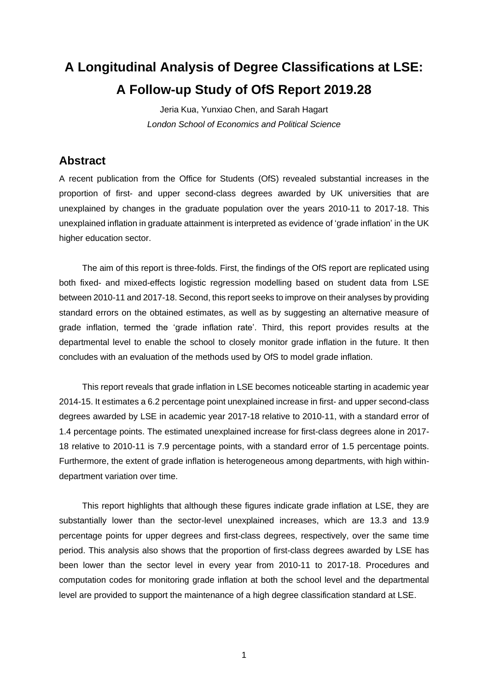# **A Longitudinal Analysis of Degree Classifications at LSE: A Follow-up Study of OfS Report 2019.28**

Jeria Kua, Yunxiao Chen, and Sarah Hagart *London School of Economics and Political Science*

## **Abstract**

A recent publication from the Office for Students (OfS) revealed substantial increases in the proportion of first- and upper second-class degrees awarded by UK universities that are unexplained by changes in the graduate population over the years 2010-11 to 2017-18. This unexplained inflation in graduate attainment is interpreted as evidence of 'grade inflation' in the UK higher education sector.

The aim of this report is three-folds. First, the findings of the OfS report are replicated using both fixed- and mixed-effects logistic regression modelling based on student data from LSE between 2010-11 and 2017-18. Second, this report seeks to improve on their analyses by providing standard errors on the obtained estimates, as well as by suggesting an alternative measure of grade inflation, termed the 'grade inflation rate'. Third, this report provides results at the departmental level to enable the school to closely monitor grade inflation in the future. It then concludes with an evaluation of the methods used by OfS to model grade inflation.

This report reveals that grade inflation in LSE becomes noticeable starting in academic year 2014-15. It estimates a 6.2 percentage point unexplained increase in first- and upper second-class degrees awarded by LSE in academic year 2017-18 relative to 2010-11, with a standard error of 1.4 percentage points. The estimated unexplained increase for first-class degrees alone in 2017- 18 relative to 2010-11 is 7.9 percentage points, with a standard error of 1.5 percentage points. Furthermore, the extent of grade inflation is heterogeneous among departments, with high withindepartment variation over time.

This report highlights that although these figures indicate grade inflation at LSE, they are substantially lower than the sector-level unexplained increases, which are 13.3 and 13.9 percentage points for upper degrees and first-class degrees, respectively, over the same time period. This analysis also shows that the proportion of first-class degrees awarded by LSE has been lower than the sector level in every year from 2010-11 to 2017-18. Procedures and computation codes for monitoring grade inflation at both the school level and the departmental level are provided to support the maintenance of a high degree classification standard at LSE.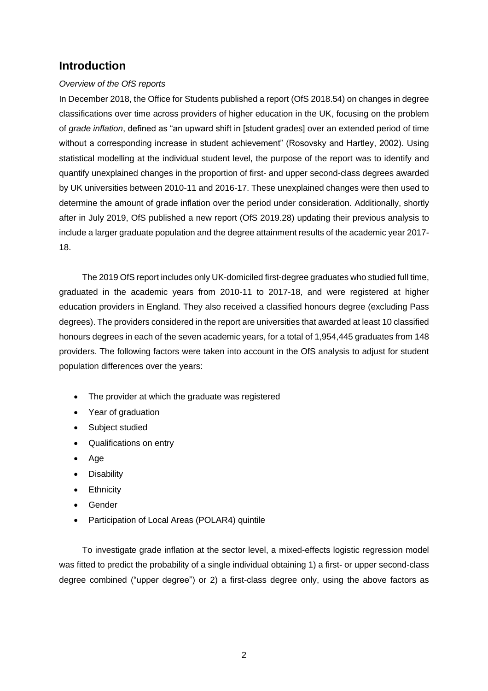## **Introduction**

#### *Overview of the OfS reports*

In December 2018, the Office for Students published a report (OfS 2018.54) on changes in degree classifications over time across providers of higher education in the UK, focusing on the problem of *grade inflation*, defined as "an upward shift in [student grades] over an extended period of time without a corresponding increase in student achievement" (Rosovsky and Hartley, 2002). Using statistical modelling at the individual student level, the purpose of the report was to identify and quantify unexplained changes in the proportion of first- and upper second-class degrees awarded by UK universities between 2010-11 and 2016-17. These unexplained changes were then used to determine the amount of grade inflation over the period under consideration. Additionally, shortly after in July 2019, OfS published a new report (OfS 2019.28) updating their previous analysis to include a larger graduate population and the degree attainment results of the academic year 2017- 18.

The 2019 OfS report includes only UK-domiciled first-degree graduates who studied full time, graduated in the academic years from 2010-11 to 2017-18, and were registered at higher education providers in England. They also received a classified honours degree (excluding Pass degrees). The providers considered in the report are universities that awarded at least 10 classified honours degrees in each of the seven academic years, for a total of 1,954,445 graduates from 148 providers. The following factors were taken into account in the OfS analysis to adjust for student population differences over the years:

- The provider at which the graduate was registered
- Year of graduation
- Subject studied
- Qualifications on entry
- Age
- Disability
- Ethnicity
- Gender
- Participation of Local Areas (POLAR4) quintile

To investigate grade inflation at the sector level, a mixed-effects logistic regression model was fitted to predict the probability of a single individual obtaining 1) a first- or upper second-class degree combined ("upper degree") or 2) a first-class degree only, using the above factors as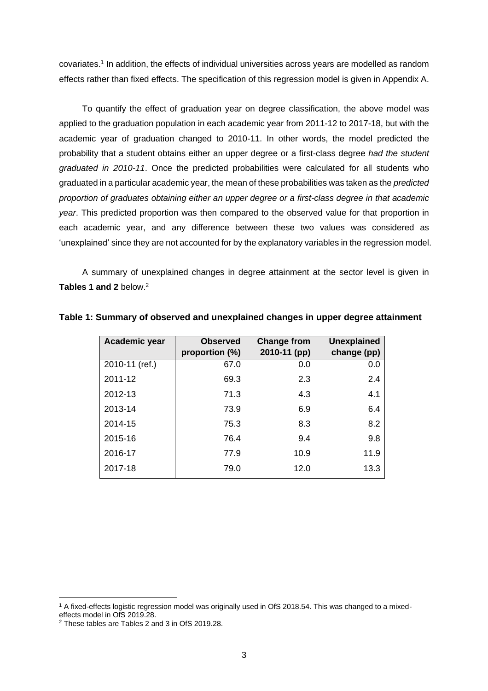covariates. 1 In addition, the effects of individual universities across years are modelled as random effects rather than fixed effects. The specification of this regression model is given in Appendix A.

To quantify the effect of graduation year on degree classification, the above model was applied to the graduation population in each academic year from 2011-12 to 2017-18, but with the academic year of graduation changed to 2010-11. In other words, the model predicted the probability that a student obtains either an upper degree or a first-class degree *had the student graduated in 2010-11*. Once the predicted probabilities were calculated for all students who graduated in a particular academic year, the mean of these probabilities was taken as the *predicted proportion of graduates obtaining either an upper degree or a first-class degree in that academic year*. This predicted proportion was then compared to the observed value for that proportion in each academic year, and any difference between these two values was considered as 'unexplained' since they are not accounted for by the explanatory variables in the regression model.

A summary of unexplained changes in degree attainment at the sector level is given in **Tables 1 and 2** below. 2

| Academic year  | <b>Observed</b> | <b>Change from</b> | <b>Unexplained</b> |
|----------------|-----------------|--------------------|--------------------|
|                | proportion (%)  | 2010-11 (pp)       | change (pp)        |
| 2010-11 (ref.) | 67.0            | 0.0                | 0.0                |
| 2011-12        | 69.3            | 2.3                | 2.4                |
| 2012-13        | 71.3            | 4.3                | 4.1                |
| 2013-14        | 73.9            | 6.9                | 6.4                |
| 2014-15        | 75.3            | 8.3                | 8.2                |
| 2015-16        | 76.4            | 9.4                | 9.8                |
| 2016-17        | 77.9            | 10.9               | 11.9               |
| 2017-18        | 79.0            | 12.0               | 13.3               |

**Table 1: Summary of observed and unexplained changes in upper degree attainment**

<sup>1</sup> A fixed-effects logistic regression model was originally used in OfS 2018.54. This was changed to a mixedeffects model in OfS 2019.28.

<sup>2</sup> These tables are Tables 2 and 3 in OfS 2019.28.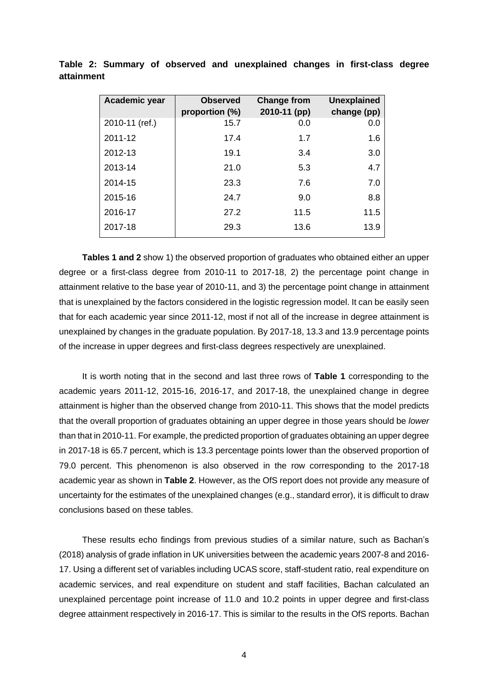| Academic year  | <b>Observed</b><br>proportion (%) | <b>Change from</b><br>2010-11 (pp) | <b>Unexplained</b><br>change (pp) |
|----------------|-----------------------------------|------------------------------------|-----------------------------------|
| 2010-11 (ref.) | 15.7                              | 0.0                                | 0.0                               |
| 2011-12        | 17.4                              | 1.7                                | 1.6                               |
| 2012-13        | 19.1                              | 3.4                                | 3.0                               |
| 2013-14        | 21.0                              | 5.3                                | 4.7                               |
| 2014-15        | 23.3                              | 7.6                                | 7.0                               |
| 2015-16        | 24.7                              | 9.0                                | 8.8                               |
| 2016-17        | 27.2                              | 11.5                               | 11.5                              |
| 2017-18        | 29.3                              | 13.6                               | 13.9                              |

**Table 2: Summary of observed and unexplained changes in first-class degree attainment**

**Tables 1 and 2** show 1) the observed proportion of graduates who obtained either an upper degree or a first-class degree from 2010-11 to 2017-18, 2) the percentage point change in attainment relative to the base year of 2010-11, and 3) the percentage point change in attainment that is unexplained by the factors considered in the logistic regression model. It can be easily seen that for each academic year since 2011-12, most if not all of the increase in degree attainment is unexplained by changes in the graduate population. By 2017-18, 13.3 and 13.9 percentage points of the increase in upper degrees and first-class degrees respectively are unexplained.

It is worth noting that in the second and last three rows of **Table 1** corresponding to the academic years 2011-12, 2015-16, 2016-17, and 2017-18, the unexplained change in degree attainment is higher than the observed change from 2010-11. This shows that the model predicts that the overall proportion of graduates obtaining an upper degree in those years should be *lower* than that in 2010-11. For example, the predicted proportion of graduates obtaining an upper degree in 2017-18 is 65.7 percent, which is 13.3 percentage points lower than the observed proportion of 79.0 percent. This phenomenon is also observed in the row corresponding to the 2017-18 academic year as shown in **Table 2**. However, as the OfS report does not provide any measure of uncertainty for the estimates of the unexplained changes (e.g., standard error), it is difficult to draw conclusions based on these tables.

These results echo findings from previous studies of a similar nature, such as Bachan's (2018) analysis of grade inflation in UK universities between the academic years 2007-8 and 2016- 17. Using a different set of variables including UCAS score, staff-student ratio, real expenditure on academic services, and real expenditure on student and staff facilities, Bachan calculated an unexplained percentage point increase of 11.0 and 10.2 points in upper degree and first-class degree attainment respectively in 2016-17. This is similar to the results in the OfS reports. Bachan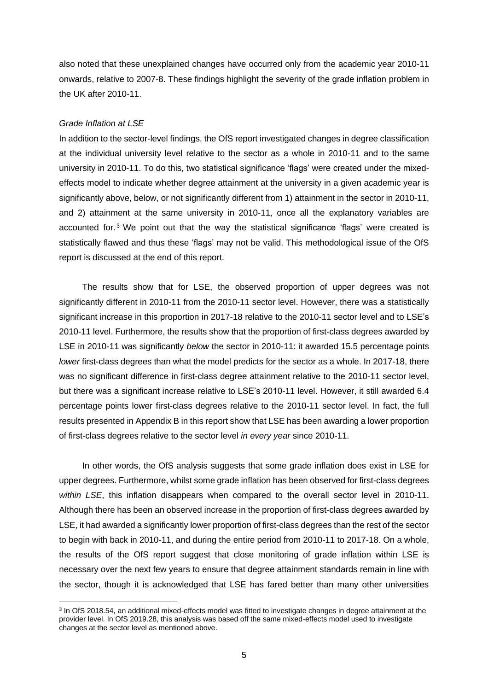also noted that these unexplained changes have occurred only from the academic year 2010-11 onwards, relative to 2007-8. These findings highlight the severity of the grade inflation problem in the UK after 2010-11.

#### *Grade Inflation at LSE*

In addition to the sector-level findings, the OfS report investigated changes in degree classification at the individual university level relative to the sector as a whole in 2010-11 and to the same university in 2010-11. To do this, two statistical significance 'flags' were created under the mixedeffects model to indicate whether degree attainment at the university in a given academic year is significantly above, below, or not significantly different from 1) attainment in the sector in 2010-11, and 2) attainment at the same university in 2010-11, once all the explanatory variables are accounted for.<sup>3</sup> We point out that the way the statistical significance 'flags' were created is statistically flawed and thus these 'flags' may not be valid. This methodological issue of the OfS report is discussed at the end of this report.

The results show that for LSE, the observed proportion of upper degrees was not significantly different in 2010-11 from the 2010-11 sector level. However, there was a statistically significant increase in this proportion in 2017-18 relative to the 2010-11 sector level and to LSE's 2010-11 level. Furthermore, the results show that the proportion of first-class degrees awarded by LSE in 2010-11 was significantly *below* the sector in 2010-11: it awarded 15.5 percentage points *lower* first-class degrees than what the model predicts for the sector as a whole. In 2017-18, there was no significant difference in first-class degree attainment relative to the 2010-11 sector level, but there was a significant increase relative to LSE's 2010-11 level. However, it still awarded 6.4 percentage points lower first-class degrees relative to the 2010-11 sector level. In fact, the full results presented in Appendix B in this report show that LSE has been awarding a lower proportion of first-class degrees relative to the sector level *in every year* since 2010-11.

In other words, the OfS analysis suggests that some grade inflation does exist in LSE for upper degrees. Furthermore, whilst some grade inflation has been observed for first-class degrees *within LSE*, this inflation disappears when compared to the overall sector level in 2010-11. Although there has been an observed increase in the proportion of first-class degrees awarded by LSE, it had awarded a significantly lower proportion of first-class degrees than the rest of the sector to begin with back in 2010-11, and during the entire period from 2010-11 to 2017-18. On a whole, the results of the OfS report suggest that close monitoring of grade inflation within LSE is necessary over the next few years to ensure that degree attainment standards remain in line with the sector, though it is acknowledged that LSE has fared better than many other universities

<sup>&</sup>lt;sup>3</sup> In OfS 2018.54, an additional mixed-effects model was fitted to investigate changes in degree attainment at the provider level. In OfS 2019.28, this analysis was based off the same mixed-effects model used to investigate changes at the sector level as mentioned above.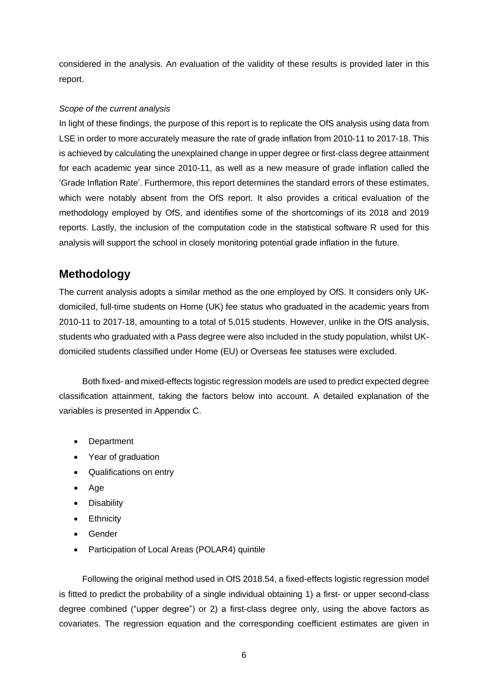considered in the analysis. An evaluation of the validity of these results is provided later in this report.

#### *Scope of the current analysis*

In light of these findings, the purpose of this report is to replicate the OfS analysis using data from LSE in order to more accurately measure the rate of grade inflation from 2010-11 to 2017-18. This is achieved by calculating the unexplained change in upper degree or first-class degree attainment for each academic year since 2010-11, as well as a new measure of grade inflation called the 'Grade Inflation Rate'. Furthermore, this report determines the standard errors of these estimates, which were notably absent from the OfS report. It also provides a critical evaluation of the methodology employed by OfS, and identifies some of the shortcomings of its 2018 and 2019 reports. Lastly, the inclusion of the computation code in the statistical software R used for this analysis will support the school in closely monitoring potential grade inflation in the future.

## **Methodology**

The current analysis adopts a similar method as the one employed by OfS. It considers only UKdomiciled, full-time students on Home (UK) fee status who graduated in the academic years from 2010-11 to 2017-18, amounting to a total of 5,015 students. However, unlike in the OfS analysis, students who graduated with a Pass degree were also included in the study population, whilst UKdomiciled students classified under Home (EU) or Overseas fee statuses were excluded.

Both fixed- and mixed-effects logistic regression models are used to predict expected degree classification attainment, taking the factors below into account. A detailed explanation of the variables is presented in Appendix C.

- Department
- Year of graduation
- Qualifications on entry
- Age
- Disability
- Ethnicity
- Gender
- Participation of Local Areas (POLAR4) quintile

Following the original method used in OfS 2018.54, a fixed-effects logistic regression model is fitted to predict the probability of a single individual obtaining 1) a first- or upper second-class degree combined ("upper degree") or 2) a first-class degree only, using the above factors as covariates. The regression equation and the corresponding coefficient estimates are given in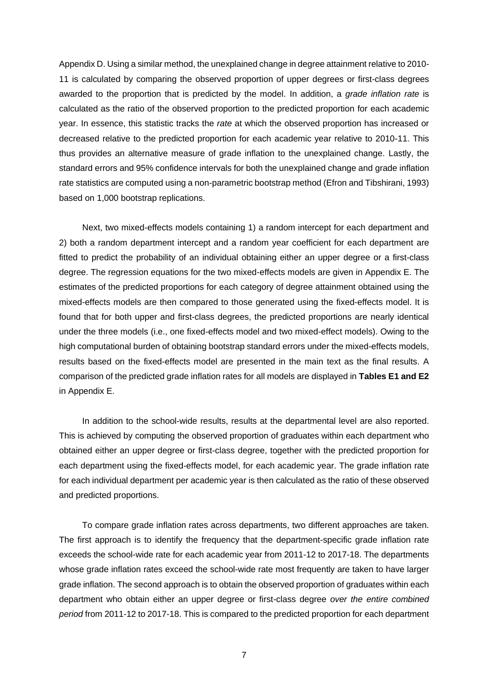Appendix D. Using a similar method, the unexplained change in degree attainment relative to 2010- 11 is calculated by comparing the observed proportion of upper degrees or first-class degrees awarded to the proportion that is predicted by the model. In addition, a *grade inflation rate* is calculated as the ratio of the observed proportion to the predicted proportion for each academic year. In essence, this statistic tracks the *rate* at which the observed proportion has increased or decreased relative to the predicted proportion for each academic year relative to 2010-11. This thus provides an alternative measure of grade inflation to the unexplained change. Lastly, the standard errors and 95% confidence intervals for both the unexplained change and grade inflation rate statistics are computed using a non-parametric bootstrap method (Efron and Tibshirani, 1993) based on 1,000 bootstrap replications.

Next, two mixed-effects models containing 1) a random intercept for each department and 2) both a random department intercept and a random year coefficient for each department are fitted to predict the probability of an individual obtaining either an upper degree or a first-class degree. The regression equations for the two mixed-effects models are given in Appendix E. The estimates of the predicted proportions for each category of degree attainment obtained using the mixed-effects models are then compared to those generated using the fixed-effects model. It is found that for both upper and first-class degrees, the predicted proportions are nearly identical under the three models (i.e., one fixed-effects model and two mixed-effect models). Owing to the high computational burden of obtaining bootstrap standard errors under the mixed-effects models, results based on the fixed-effects model are presented in the main text as the final results. A comparison of the predicted grade inflation rates for all models are displayed in **Tables E1 and E2** in Appendix E.

In addition to the school-wide results, results at the departmental level are also reported. This is achieved by computing the observed proportion of graduates within each department who obtained either an upper degree or first-class degree, together with the predicted proportion for each department using the fixed-effects model, for each academic year. The grade inflation rate for each individual department per academic year is then calculated as the ratio of these observed and predicted proportions.

To compare grade inflation rates across departments, two different approaches are taken. The first approach is to identify the frequency that the department-specific grade inflation rate exceeds the school-wide rate for each academic year from 2011-12 to 2017-18. The departments whose grade inflation rates exceed the school-wide rate most frequently are taken to have larger grade inflation. The second approach is to obtain the observed proportion of graduates within each department who obtain either an upper degree or first-class degree *over the entire combined period* from 2011-12 to 2017-18. This is compared to the predicted proportion for each department

7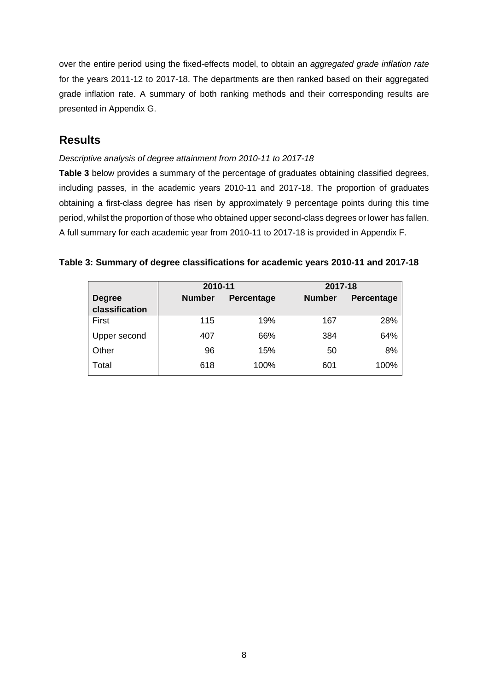over the entire period using the fixed-effects model, to obtain an *aggregated grade inflation rate* for the years 2011-12 to 2017-18. The departments are then ranked based on their aggregated grade inflation rate. A summary of both ranking methods and their corresponding results are presented in Appendix G.

## **Results**

#### *Descriptive analysis of degree attainment from 2010-11 to 2017-18*

**Table 3** below provides a summary of the percentage of graduates obtaining classified degrees, including passes, in the academic years 2010-11 and 2017-18. The proportion of graduates obtaining a first-class degree has risen by approximately 9 percentage points during this time period, whilst the proportion of those who obtained upper second-class degrees or lower has fallen. A full summary for each academic year from 2010-11 to 2017-18 is provided in Appendix F.

#### **Table 3: Summary of degree classifications for academic years 2010-11 and 2017-18**

|                                 | 2010-11       |                   | 2017-18       |                   |
|---------------------------------|---------------|-------------------|---------------|-------------------|
| <b>Degree</b><br>classification | <b>Number</b> | <b>Percentage</b> | <b>Number</b> | <b>Percentage</b> |
| First                           | 115           | 19%               | 167           | 28%               |
| Upper second                    | 407           | 66%               | 384           | 64%               |
| Other                           | 96            | 15%               | 50            | 8%                |
| Total                           | 618           | 100%              | 601           | 100%              |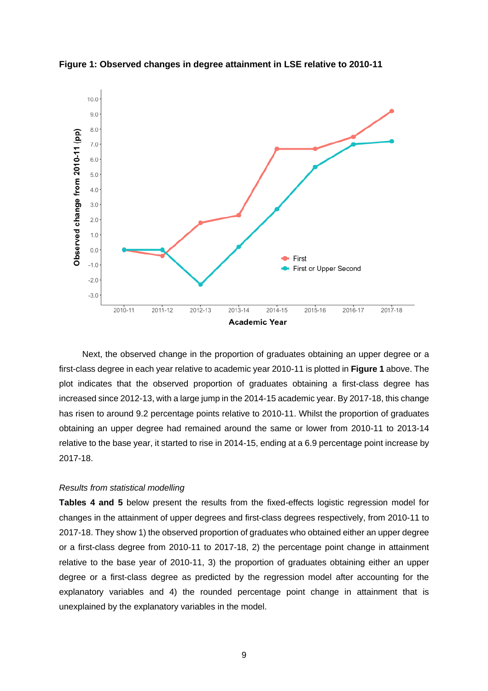

**Figure 1: Observed changes in degree attainment in LSE relative to 2010-11**

Next, the observed change in the proportion of graduates obtaining an upper degree or a first-class degree in each year relative to academic year 2010-11 is plotted in **Figure 1** above. The plot indicates that the observed proportion of graduates obtaining a first-class degree has increased since 2012-13, with a large jump in the 2014-15 academic year. By 2017-18, this change has risen to around 9.2 percentage points relative to 2010-11. Whilst the proportion of graduates obtaining an upper degree had remained around the same or lower from 2010-11 to 2013-14 relative to the base year, it started to rise in 2014-15, ending at a 6.9 percentage point increase by 2017-18.

#### *Results from statistical modelling*

**Tables 4 and 5** below present the results from the fixed-effects logistic regression model for changes in the attainment of upper degrees and first-class degrees respectively, from 2010-11 to 2017-18. They show 1) the observed proportion of graduates who obtained either an upper degree or a first-class degree from 2010-11 to 2017-18, 2) the percentage point change in attainment relative to the base year of 2010-11, 3) the proportion of graduates obtaining either an upper degree or a first-class degree as predicted by the regression model after accounting for the explanatory variables and 4) the rounded percentage point change in attainment that is unexplained by the explanatory variables in the model.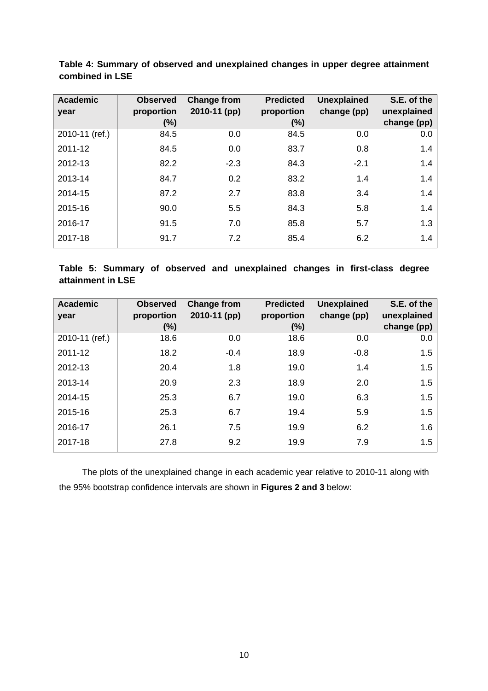| <b>Academic</b> | <b>Observed</b><br>proportion | <b>Change from</b><br>2010-11 (pp) | <b>Predicted</b><br>proportion | <b>Unexplained</b><br>change (pp) | S.E. of the<br>unexplained |
|-----------------|-------------------------------|------------------------------------|--------------------------------|-----------------------------------|----------------------------|
| year            | $(\%)$                        |                                    | $(\%)$                         |                                   | change (pp)                |
| 2010-11 (ref.)  | 84.5                          | 0.0                                | 84.5                           | 0.0                               | 0.0                        |
| 2011-12         | 84.5                          | 0.0                                | 83.7                           | 0.8                               | 1.4                        |
| 2012-13         | 82.2                          | $-2.3$                             | 84.3                           | $-2.1$                            | 1.4                        |
| 2013-14         | 84.7                          | 0.2                                | 83.2                           | 1.4                               | 1.4                        |
| 2014-15         | 87.2                          | 2.7                                | 83.8                           | 3.4                               | 1.4                        |
| 2015-16         | 90.0                          | 5.5                                | 84.3                           | 5.8                               | 1.4                        |
| 2016-17         | 91.5                          | 7.0                                | 85.8                           | 5.7                               | 1.3                        |
| 2017-18         | 91.7                          | 7.2                                | 85.4                           | 6.2                               | 1.4                        |

**Table 4: Summary of observed and unexplained changes in upper degree attainment combined in LSE**

**Table 5: Summary of observed and unexplained changes in first-class degree attainment in LSE**

| <b>Academic</b><br>year | <b>Observed</b><br>proportion | <b>Change from</b><br>2010-11 (pp) | <b>Predicted</b><br>proportion | <b>Unexplained</b><br>change (pp) | S.E. of the<br>unexplained |
|-------------------------|-------------------------------|------------------------------------|--------------------------------|-----------------------------------|----------------------------|
|                         | $(\%)$                        |                                    | $(\%)$                         |                                   | change (pp)                |
| 2010-11 (ref.)          | 18.6                          | 0.0                                | 18.6                           | 0.0                               | 0.0                        |
| 2011-12                 | 18.2                          | $-0.4$                             | 18.9                           | $-0.8$                            | 1.5                        |
| 2012-13                 | 20.4                          | 1.8                                | 19.0                           | 1.4                               | 1.5                        |
| 2013-14                 | 20.9                          | 2.3                                | 18.9                           | 2.0                               | 1.5                        |
| 2014-15                 | 25.3                          | 6.7                                | 19.0                           | 6.3                               | 1.5                        |
| 2015-16                 | 25.3                          | 6.7                                | 19.4                           | 5.9                               | 1.5                        |
| 2016-17                 | 26.1                          | 7.5                                | 19.9                           | 6.2                               | 1.6                        |
| 2017-18                 | 27.8                          | 9.2                                | 19.9                           | 7.9                               | 1.5                        |

The plots of the unexplained change in each academic year relative to 2010-11 along with the 95% bootstrap confidence intervals are shown in **Figures 2 and 3** below: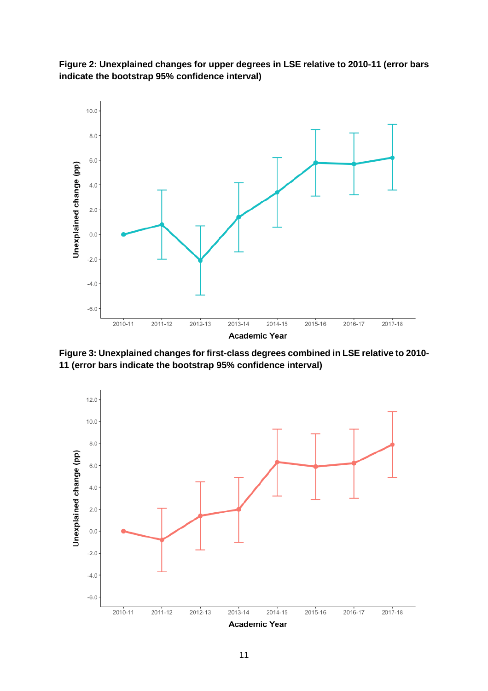



**Figure 3: Unexplained changes for first-class degrees combined in LSE relative to 2010- 11 (error bars indicate the bootstrap 95% confidence interval)**

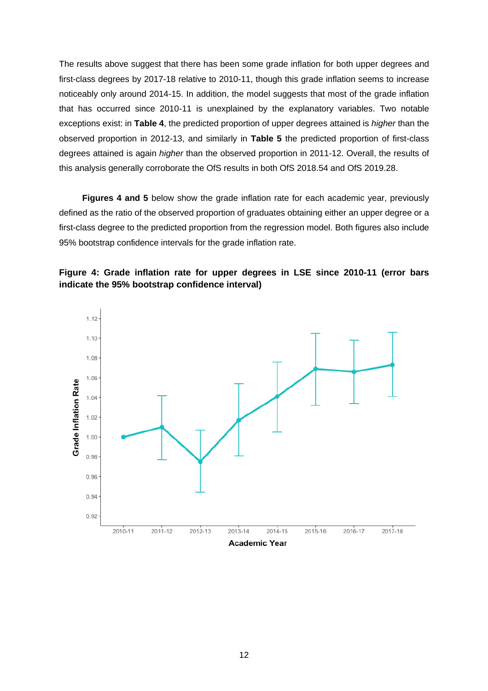The results above suggest that there has been some grade inflation for both upper degrees and first-class degrees by 2017-18 relative to 2010-11, though this grade inflation seems to increase noticeably only around 2014-15. In addition, the model suggests that most of the grade inflation that has occurred since 2010-11 is unexplained by the explanatory variables. Two notable exceptions exist: in **Table 4**, the predicted proportion of upper degrees attained is *higher* than the observed proportion in 2012-13, and similarly in **Table 5** the predicted proportion of first-class degrees attained is again *higher* than the observed proportion in 2011-12. Overall, the results of this analysis generally corroborate the OfS results in both OfS 2018.54 and OfS 2019.28.

**Figures 4 and 5** below show the grade inflation rate for each academic year, previously defined as the ratio of the observed proportion of graduates obtaining either an upper degree or a first-class degree to the predicted proportion from the regression model. Both figures also include 95% bootstrap confidence intervals for the grade inflation rate.



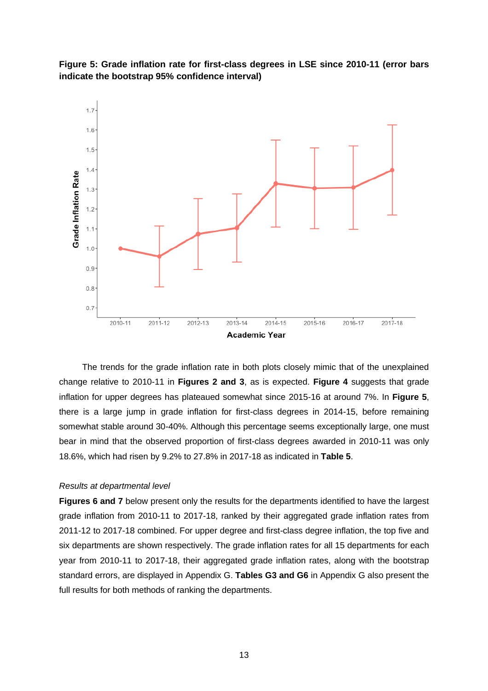



The trends for the grade inflation rate in both plots closely mimic that of the unexplained change relative to 2010-11 in **Figures 2 and 3**, as is expected. **Figure 4** suggests that grade inflation for upper degrees has plateaued somewhat since 2015-16 at around 7%. In **Figure 5**, there is a large jump in grade inflation for first-class degrees in 2014-15, before remaining somewhat stable around 30-40%. Although this percentage seems exceptionally large, one must bear in mind that the observed proportion of first-class degrees awarded in 2010-11 was only 18.6%, which had risen by 9.2% to 27.8% in 2017-18 as indicated in **Table 5**.

#### *Results at departmental level*

**Figures 6 and 7** below present only the results for the departments identified to have the largest grade inflation from 2010-11 to 2017-18, ranked by their aggregated grade inflation rates from 2011-12 to 2017-18 combined. For upper degree and first-class degree inflation, the top five and six departments are shown respectively. The grade inflation rates for all 15 departments for each year from 2010-11 to 2017-18, their aggregated grade inflation rates, along with the bootstrap standard errors, are displayed in Appendix G. **Tables G3 and G6** in Appendix G also present the full results for both methods of ranking the departments.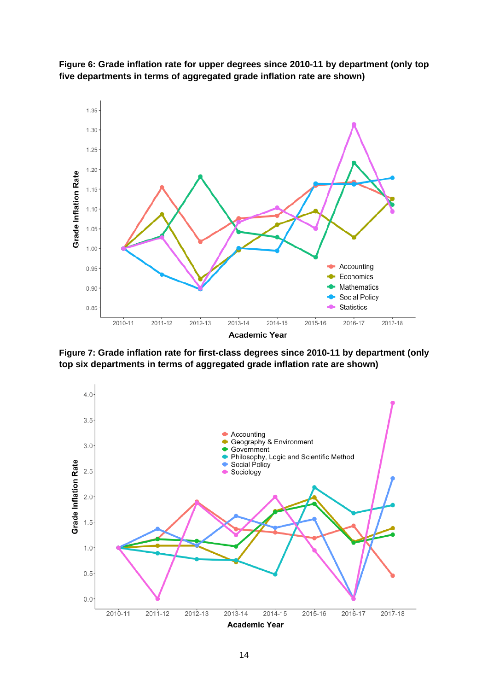



**Figure 7: Grade inflation rate for first-class degrees since 2010-11 by department (only top six departments in terms of aggregated grade inflation rate are shown)**

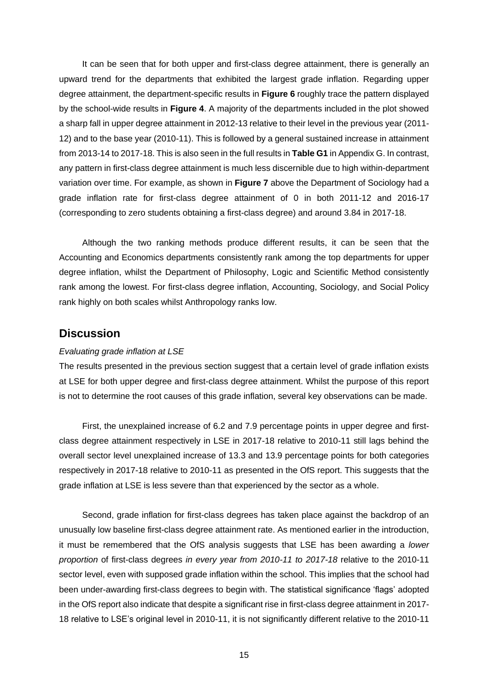It can be seen that for both upper and first-class degree attainment, there is generally an upward trend for the departments that exhibited the largest grade inflation. Regarding upper degree attainment, the department-specific results in **Figure 6** roughly trace the pattern displayed by the school-wide results in **Figure 4**. A majority of the departments included in the plot showed a sharp fall in upper degree attainment in 2012-13 relative to their level in the previous year (2011- 12) and to the base year (2010-11). This is followed by a general sustained increase in attainment from 2013-14 to 2017-18. This is also seen in the full results in **Table G1** in Appendix G. In contrast, any pattern in first-class degree attainment is much less discernible due to high within-department variation over time. For example, as shown in **Figure 7** above the Department of Sociology had a grade inflation rate for first-class degree attainment of 0 in both 2011-12 and 2016-17 (corresponding to zero students obtaining a first-class degree) and around 3.84 in 2017-18.

Although the two ranking methods produce different results, it can be seen that the Accounting and Economics departments consistently rank among the top departments for upper degree inflation, whilst the Department of Philosophy, Logic and Scientific Method consistently rank among the lowest. For first-class degree inflation, Accounting, Sociology, and Social Policy rank highly on both scales whilst Anthropology ranks low.

## **Discussion**

#### *Evaluating grade inflation at LSE*

The results presented in the previous section suggest that a certain level of grade inflation exists at LSE for both upper degree and first-class degree attainment. Whilst the purpose of this report is not to determine the root causes of this grade inflation, several key observations can be made.

First, the unexplained increase of 6.2 and 7.9 percentage points in upper degree and firstclass degree attainment respectively in LSE in 2017-18 relative to 2010-11 still lags behind the overall sector level unexplained increase of 13.3 and 13.9 percentage points for both categories respectively in 2017-18 relative to 2010-11 as presented in the OfS report. This suggests that the grade inflation at LSE is less severe than that experienced by the sector as a whole.

Second, grade inflation for first-class degrees has taken place against the backdrop of an unusually low baseline first-class degree attainment rate. As mentioned earlier in the introduction, it must be remembered that the OfS analysis suggests that LSE has been awarding a *lower proportion* of first-class degrees *in every year from 2010-11 to 2017-18* relative to the 2010-11 sector level, even with supposed grade inflation within the school. This implies that the school had been under-awarding first-class degrees to begin with. The statistical significance 'flags' adopted in the OfS report also indicate that despite a significant rise in first-class degree attainment in 2017- 18 relative to LSE's original level in 2010-11, it is not significantly different relative to the 2010-11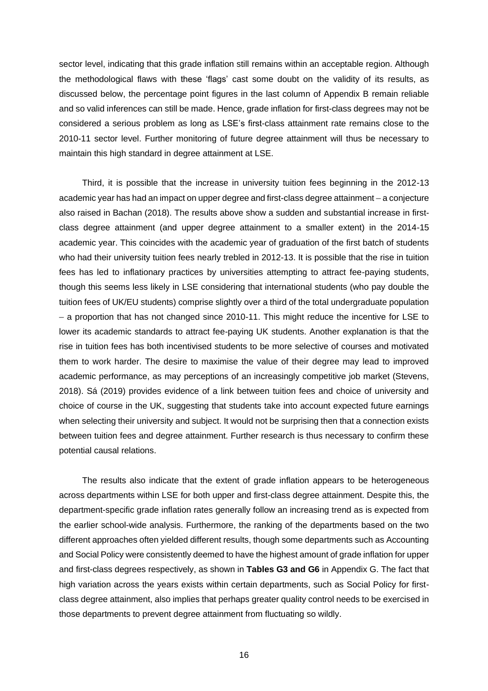sector level, indicating that this grade inflation still remains within an acceptable region. Although the methodological flaws with these 'flags' cast some doubt on the validity of its results, as discussed below, the percentage point figures in the last column of Appendix B remain reliable and so valid inferences can still be made. Hence, grade inflation for first-class degrees may not be considered a serious problem as long as LSE's first-class attainment rate remains close to the 2010-11 sector level. Further monitoring of future degree attainment will thus be necessary to maintain this high standard in degree attainment at LSE.

Third, it is possible that the increase in university tuition fees beginning in the 2012-13 academic year has had an impact on upper degree and first-class degree attainment – a conjecture also raised in Bachan (2018). The results above show a sudden and substantial increase in firstclass degree attainment (and upper degree attainment to a smaller extent) in the 2014-15 academic year. This coincides with the academic year of graduation of the first batch of students who had their university tuition fees nearly trebled in 2012-13. It is possible that the rise in tuition fees has led to inflationary practices by universities attempting to attract fee-paying students, though this seems less likely in LSE considering that international students (who pay double the tuition fees of UK/EU students) comprise slightly over a third of the total undergraduate population – a proportion that has not changed since 2010-11. This might reduce the incentive for LSE to lower its academic standards to attract fee-paying UK students. Another explanation is that the rise in tuition fees has both incentivised students to be more selective of courses and motivated them to work harder. The desire to maximise the value of their degree may lead to improved academic performance, as may perceptions of an increasingly competitive job market (Stevens, 2018). Sá (2019) provides evidence of a link between tuition fees and choice of university and choice of course in the UK, suggesting that students take into account expected future earnings when selecting their university and subject. It would not be surprising then that a connection exists between tuition fees and degree attainment. Further research is thus necessary to confirm these potential causal relations.

The results also indicate that the extent of grade inflation appears to be heterogeneous across departments within LSE for both upper and first-class degree attainment. Despite this, the department-specific grade inflation rates generally follow an increasing trend as is expected from the earlier school-wide analysis. Furthermore, the ranking of the departments based on the two different approaches often yielded different results, though some departments such as Accounting and Social Policy were consistently deemed to have the highest amount of grade inflation for upper and first-class degrees respectively, as shown in **Tables G3 and G6** in Appendix G. The fact that high variation across the years exists within certain departments, such as Social Policy for firstclass degree attainment, also implies that perhaps greater quality control needs to be exercised in those departments to prevent degree attainment from fluctuating so wildly.

16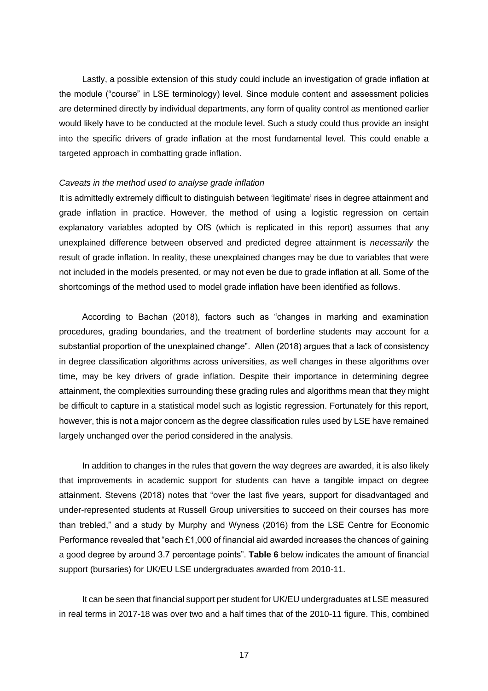Lastly, a possible extension of this study could include an investigation of grade inflation at the module ("course" in LSE terminology) level. Since module content and assessment policies are determined directly by individual departments, any form of quality control as mentioned earlier would likely have to be conducted at the module level. Such a study could thus provide an insight into the specific drivers of grade inflation at the most fundamental level. This could enable a targeted approach in combatting grade inflation.

#### *Caveats in the method used to analyse grade inflation*

It is admittedly extremely difficult to distinguish between 'legitimate' rises in degree attainment and grade inflation in practice. However, the method of using a logistic regression on certain explanatory variables adopted by OfS (which is replicated in this report) assumes that any unexplained difference between observed and predicted degree attainment is *necessarily* the result of grade inflation. In reality, these unexplained changes may be due to variables that were not included in the models presented, or may not even be due to grade inflation at all. Some of the shortcomings of the method used to model grade inflation have been identified as follows.

According to Bachan (2018), factors such as "changes in marking and examination procedures, grading boundaries, and the treatment of borderline students may account for a substantial proportion of the unexplained change". Allen (2018) argues that a lack of consistency in degree classification algorithms across universities, as well changes in these algorithms over time, may be key drivers of grade inflation. Despite their importance in determining degree attainment, the complexities surrounding these grading rules and algorithms mean that they might be difficult to capture in a statistical model such as logistic regression. Fortunately for this report, however, this is not a major concern as the degree classification rules used by LSE have remained largely unchanged over the period considered in the analysis.

In addition to changes in the rules that govern the way degrees are awarded, it is also likely that improvements in academic support for students can have a tangible impact on degree attainment. Stevens (2018) notes that "over the last five years, support for disadvantaged and under-represented students at Russell Group universities to succeed on their courses has more than trebled," and a study by Murphy and Wyness (2016) from the LSE Centre for Economic Performance revealed that "each £1,000 of financial aid awarded increases the chances of gaining a good degree by around 3.7 percentage points". **Table 6** below indicates the amount of financial support (bursaries) for UK/EU LSE undergraduates awarded from 2010-11.

It can be seen that financial support per student for UK/EU undergraduates at LSE measured in real terms in 2017-18 was over two and a half times that of the 2010-11 figure. This, combined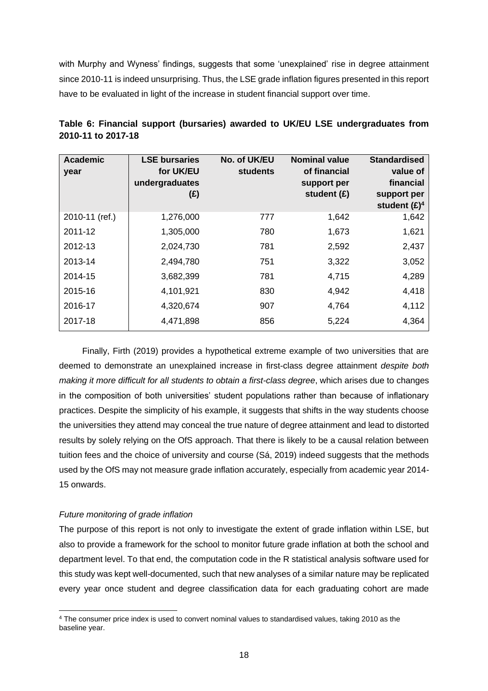with Murphy and Wyness' findings, suggests that some 'unexplained' rise in degree attainment since 2010-11 is indeed unsurprising. Thus, the LSE grade inflation figures presented in this report have to be evaluated in light of the increase in student financial support over time.

| <b>Academic</b><br>year | <b>LSE bursaries</b><br>for UK/EU<br>undergraduates<br>(E) | No. of UK/EU<br>students | <b>Nominal value</b><br>of financial<br>support per<br>student $(E)$ | <b>Standardised</b><br>value of<br>financial<br>support per<br>student $(E)^4$ |
|-------------------------|------------------------------------------------------------|--------------------------|----------------------------------------------------------------------|--------------------------------------------------------------------------------|
| 2010-11 (ref.)          | 1,276,000                                                  | 777                      | 1,642                                                                | 1,642                                                                          |
| 2011-12                 | 1,305,000                                                  | 780                      | 1,673                                                                | 1,621                                                                          |
| 2012-13                 | 2,024,730                                                  | 781                      | 2,592                                                                | 2,437                                                                          |
| 2013-14                 | 2,494,780                                                  | 751                      | 3,322                                                                | 3,052                                                                          |
| 2014-15                 | 3,682,399                                                  | 781                      | 4,715                                                                | 4,289                                                                          |
| 2015-16                 | 4,101,921                                                  | 830                      | 4,942                                                                | 4,418                                                                          |
| 2016-17                 | 4,320,674                                                  | 907                      | 4,764                                                                | 4,112                                                                          |
| 2017-18                 | 4,471,898                                                  | 856                      | 5,224                                                                | 4,364                                                                          |

|                    | Table 6: Financial support (bursaries) awarded to UK/EU LSE undergraduates from |  |  |
|--------------------|---------------------------------------------------------------------------------|--|--|
| 2010-11 to 2017-18 |                                                                                 |  |  |

Finally, Firth (2019) provides a hypothetical extreme example of two universities that are deemed to demonstrate an unexplained increase in first-class degree attainment *despite both making it more difficult for all students to obtain a first-class degree*, which arises due to changes in the composition of both universities' student populations rather than because of inflationary practices. Despite the simplicity of his example, it suggests that shifts in the way students choose the universities they attend may conceal the true nature of degree attainment and lead to distorted results by solely relying on the OfS approach. That there is likely to be a causal relation between tuition fees and the choice of university and course (Sá, 2019) indeed suggests that the methods used by the OfS may not measure grade inflation accurately, especially from academic year 2014- 15 onwards.

#### *Future monitoring of grade inflation*

The purpose of this report is not only to investigate the extent of grade inflation within LSE, but also to provide a framework for the school to monitor future grade inflation at both the school and department level. To that end, the computation code in the R statistical analysis software used for this study was kept well-documented, such that new analyses of a similar nature may be replicated every year once student and degree classification data for each graduating cohort are made

<sup>4</sup> The consumer price index is used to convert nominal values to standardised values, taking 2010 as the baseline year.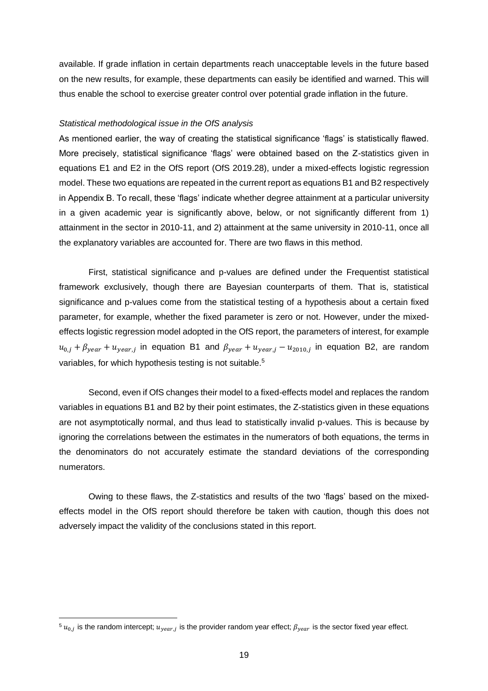available. If grade inflation in certain departments reach unacceptable levels in the future based on the new results, for example, these departments can easily be identified and warned. This will thus enable the school to exercise greater control over potential grade inflation in the future.

#### *Statistical methodological issue in the OfS analysis*

As mentioned earlier, the way of creating the statistical significance 'flags' is statistically flawed. More precisely, statistical significance 'flags' were obtained based on the Z-statistics given in equations E1 and E2 in the OfS report (OfS 2019.28), under a mixed-effects logistic regression model. These two equations are repeated in the current report as equations B1 and B2 respectively in Appendix B. To recall, these 'flags' indicate whether degree attainment at a particular university in a given academic year is significantly above, below, or not significantly different from 1) attainment in the sector in 2010-11, and 2) attainment at the same university in 2010-11, once all the explanatory variables are accounted for. There are two flaws in this method.

First, statistical significance and p-values are defined under the Frequentist statistical framework exclusively, though there are Bayesian counterparts of them. That is, statistical significance and p-values come from the statistical testing of a hypothesis about a certain fixed parameter, for example, whether the fixed parameter is zero or not. However, under the mixedeffects logistic regression model adopted in the OfS report, the parameters of interest, for example  $u_{0,j} + \beta_{year} + u_{year,j}$  in equation B1 and  $\beta_{year} + u_{year,j} - u_{2010,j}$  in equation B2, are random variables, for which hypothesis testing is not suitable.<sup>5</sup>

Second, even if OfS changes their model to a fixed-effects model and replaces the random variables in equations B1 and B2 by their point estimates, the Z-statistics given in these equations are not asymptotically normal, and thus lead to statistically invalid p-values. This is because by ignoring the correlations between the estimates in the numerators of both equations, the terms in the denominators do not accurately estimate the standard deviations of the corresponding numerators.

Owing to these flaws, the Z-statistics and results of the two 'flags' based on the mixedeffects model in the OfS report should therefore be taken with caution, though this does not adversely impact the validity of the conclusions stated in this report.

 $^5$   $u_{0,j}$  is the random intercept;  $u_{year,j}$  is the provider random year effect;  $\beta_{year}$  is the sector fixed year effect.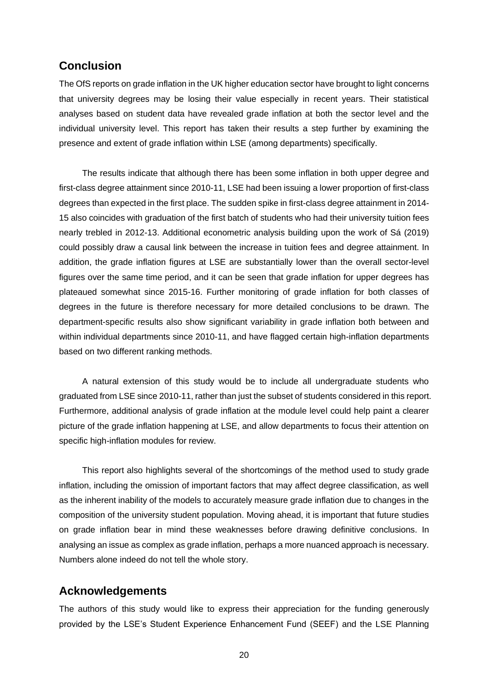## **Conclusion**

The OfS reports on grade inflation in the UK higher education sector have brought to light concerns that university degrees may be losing their value especially in recent years. Their statistical analyses based on student data have revealed grade inflation at both the sector level and the individual university level. This report has taken their results a step further by examining the presence and extent of grade inflation within LSE (among departments) specifically.

The results indicate that although there has been some inflation in both upper degree and first-class degree attainment since 2010-11, LSE had been issuing a lower proportion of first-class degrees than expected in the first place. The sudden spike in first-class degree attainment in 2014- 15 also coincides with graduation of the first batch of students who had their university tuition fees nearly trebled in 2012-13. Additional econometric analysis building upon the work of Sá (2019) could possibly draw a causal link between the increase in tuition fees and degree attainment. In addition, the grade inflation figures at LSE are substantially lower than the overall sector-level figures over the same time period, and it can be seen that grade inflation for upper degrees has plateaued somewhat since 2015-16. Further monitoring of grade inflation for both classes of degrees in the future is therefore necessary for more detailed conclusions to be drawn. The department-specific results also show significant variability in grade inflation both between and within individual departments since 2010-11, and have flagged certain high-inflation departments based on two different ranking methods.

A natural extension of this study would be to include all undergraduate students who graduated from LSE since 2010-11, rather than just the subset of students considered in this report. Furthermore, additional analysis of grade inflation at the module level could help paint a clearer picture of the grade inflation happening at LSE, and allow departments to focus their attention on specific high-inflation modules for review.

This report also highlights several of the shortcomings of the method used to study grade inflation, including the omission of important factors that may affect degree classification, as well as the inherent inability of the models to accurately measure grade inflation due to changes in the composition of the university student population. Moving ahead, it is important that future studies on grade inflation bear in mind these weaknesses before drawing definitive conclusions. In analysing an issue as complex as grade inflation, perhaps a more nuanced approach is necessary. Numbers alone indeed do not tell the whole story.

## **Acknowledgements**

The authors of this study would like to express their appreciation for the funding generously provided by the LSE's Student Experience Enhancement Fund (SEEF) and the LSE Planning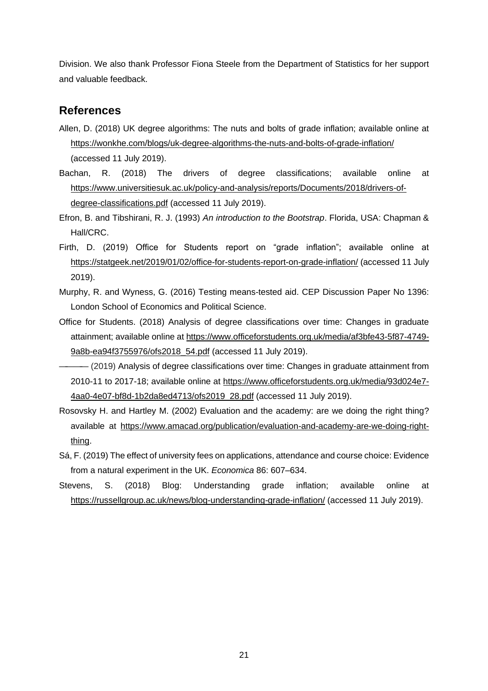Division. We also thank Professor Fiona Steele from the Department of Statistics for her support and valuable feedback.

## **References**

- Allen, D. (2018) UK degree algorithms: The nuts and bolts of grade inflation; available online at https://wonkhe.com/blogs/uk-degree-algorithms-the-nuts-and-bolts-of-grade-inflation/ (accessed 11 July 2019).
- Bachan, R. (2018) The drivers of degree classifications; available online at https://www.universitiesuk.ac.uk/policy-and-analysis/reports/Documents/2018/drivers-ofdegree-classifications.pdf (accessed 11 July 2019).
- Efron, B. and Tibshirani, R. J. (1993) *An introduction to the Bootstrap*. Florida, USA: Chapman & Hall/CRC.
- Firth, D. (2019) Office for Students report on "grade inflation"; available online at https://statgeek.net/2019/01/02/office-for-students-report-on-grade-inflation/ (accessed 11 July 2019).
- Murphy, R. and Wyness, G. (2016) Testing means-tested aid. CEP Discussion Paper No 1396: London School of Economics and Political Science.
- Office for Students. (2018) Analysis of degree classifications over time: Changes in graduate attainment; available online at https://www.officeforstudents.org.uk/media/af3bfe43-5f87-4749- 9a8b-ea94f3755976/ofs2018\_54.pdf (accessed 11 July 2019).
- (2019) Analysis of degree classifications over time: Changes in graduate attainment from 2010-11 to 2017-18; available online at https://www.officeforstudents.org.uk/media/93d024e7- 4aa0-4e07-bf8d-1b2da8ed4713/ofs2019\_28.pdf (accessed 11 July 2019).
- Rosovsky H. and Hartley M. (2002) Evaluation and the academy: are we doing the right thing? available at https://www.amacad.org/publication/evaluation-and-academy-are-we-doing-rightthing.
- Sá, F. (2019) The effect of university fees on applications, attendance and course choice: Evidence from a natural experiment in the UK. *Economica* 86: 607–634.
- Stevens, S. (2018) Blog: Understanding grade inflation; available online at https://russellgroup.ac.uk/news/blog-understanding-grade-inflation/ (accessed 11 July 2019).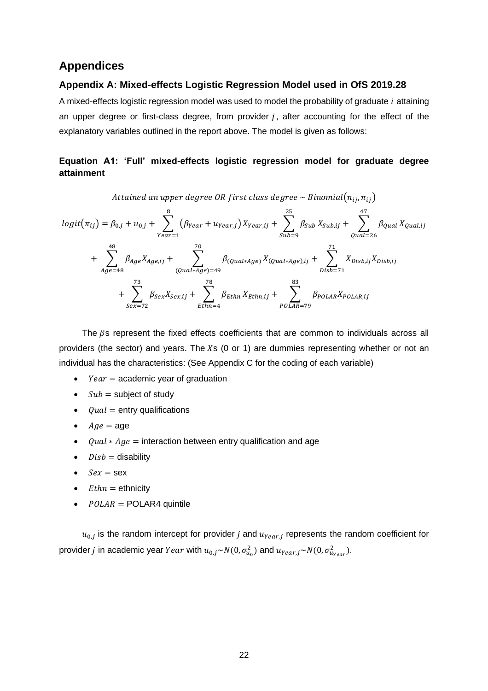## **Appendices**

#### **Appendix A: Mixed-effects Logistic Regression Model used in OfS 2019.28**

A mixed-effects logistic regression model was used to model the probability of graduate  $i$  attaining an upper degree or first-class degree, from provider  $j$ , after accounting for the effect of the explanatory variables outlined in the report above. The model is given as follows:

## **Equation A1: 'Full' mixed-effects logistic regression model for graduate degree attainment**

Attained an upper degree OR first class degree  $\sim$  Binomial $(n_{ij}, n_{ij})$ 

$$
logit(\pi_{ij}) = \beta_{0,j} + u_{0,j} + \sum_{\text{year}=1}^{8} (\beta_{\text{Year}} + u_{\text{Year},j}) X_{\text{Year},ij} + \sum_{\text{sub}=9}^{25} \beta_{\text{Sub}} X_{\text{Sub},ij} + \sum_{\text{quad}=26}^{47} \beta_{\text{qual},i}
$$
  
+ 
$$
\sum_{\text{Age}=48}^{48} \beta_{\text{Age}} X_{\text{Age},ij} + \sum_{\text{quad}+9}^{70} \beta_{\text{quad}*\text{Age}} X_{\text{quad}*\text{Age}} X_{\text{quad}*\text{Age},ji} + \sum_{\text{Disk}=71}^{71} X_{\text{Disk},ij} X_{\text{Disk},ij}
$$
  
+ 
$$
\sum_{\text{Sex}=72}^{73} \beta_{\text{Sex}} X_{\text{Sex},ij} + \sum_{\text{Ethn}=4}^{78} \beta_{\text{Ethn}} X_{\text{Ethn},ij} + \sum_{\text{POLAR}=79}^{83} \beta_{\text{POLAR}} X_{\text{POLAR},ij}
$$

The  $\beta$ s represent the fixed effects coefficients that are common to individuals across all providers (the sector) and years. The  $Xs$  (0 or 1) are dummies representing whether or not an individual has the characteristics: (See Appendix C for the coding of each variable)

- $Year = academic year of graduation$
- $Sub = \text{subject of study}$
- $\bullet$  *Oual* = entry qualifications
- $Age = age$
- $quad * Age = interaction between entry qualification and age$
- $\bullet$  *Disb* = disability
- $Sex =$ sex
- $E$ *thn* = ethnicity
- $POLAR = POLAR4$  quintile

 $u_{0,j}$  is the random intercept for provider j and  $u_{Year,j}$  represents the random coefficient for provider  $j$  in academic year  $Year$  with  $u_{0,j}{\sim}N(0,\sigma_{u_0}^2)$  and  $u_{Year,j}{\sim}N(0,\sigma_{u_{Year}}^2).$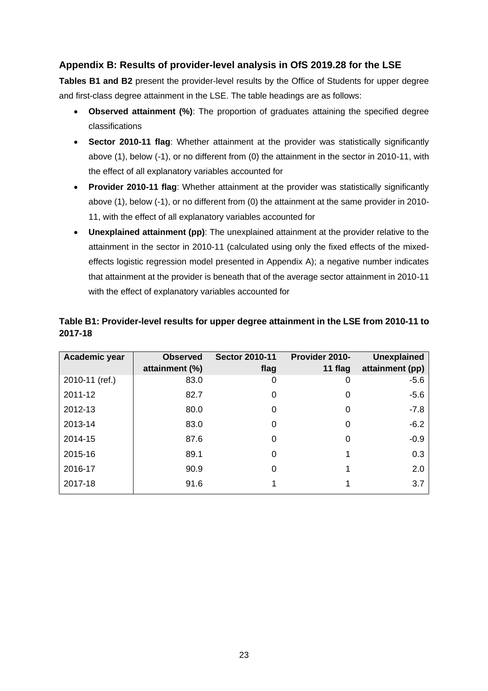## **Appendix B: Results of provider-level analysis in OfS 2019.28 for the LSE**

**Tables B1 and B2** present the provider-level results by the Office of Students for upper degree and first-class degree attainment in the LSE. The table headings are as follows:

- **Observed attainment (%)**: The proportion of graduates attaining the specified degree classifications
- **Sector 2010-11 flag**: Whether attainment at the provider was statistically significantly above (1), below (-1), or no different from (0) the attainment in the sector in 2010-11, with the effect of all explanatory variables accounted for
- **Provider 2010-11 flag**: Whether attainment at the provider was statistically significantly above (1), below (-1), or no different from (0) the attainment at the same provider in 2010- 11, with the effect of all explanatory variables accounted for
- **Unexplained attainment (pp)**: The unexplained attainment at the provider relative to the attainment in the sector in 2010-11 (calculated using only the fixed effects of the mixedeffects logistic regression model presented in Appendix A); a negative number indicates that attainment at the provider is beneath that of the average sector attainment in 2010-11 with the effect of explanatory variables accounted for

| Academic year  | <b>Observed</b><br>attainment (%) | <b>Sector 2010-11</b><br>flag | Provider 2010-<br>11 flag | <b>Unexplained</b><br>attainment (pp) |
|----------------|-----------------------------------|-------------------------------|---------------------------|---------------------------------------|
| 2010-11 (ref.) | 83.0                              | 0                             | 0                         | $-5.6$                                |
| 2011-12        | 82.7                              | 0                             | 0                         | $-5.6$                                |
| 2012-13        | 80.0                              | $\Omega$                      | 0                         | $-7.8$                                |
| 2013-14        | 83.0                              | 0                             | 0                         | $-6.2$                                |
| 2014-15        | 87.6                              | 0                             | 0                         | $-0.9$                                |
| 2015-16        | 89.1                              | $\Omega$                      |                           | 0.3                                   |
| 2016-17        | 90.9                              | $\Omega$                      |                           | 2.0                                   |
| 2017-18        | 91.6                              |                               |                           | 3.7                                   |

#### **Table B1: Provider-level results for upper degree attainment in the LSE from 2010-11 to 2017-18**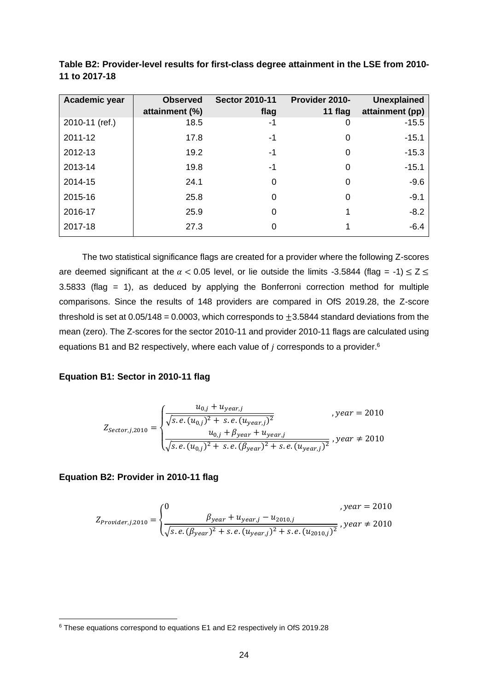| Academic year  | <b>Observed</b><br>attainment (%) | <b>Sector 2010-11</b><br>flag | Provider 2010-<br>11 flag | <b>Unexplained</b><br>attainment (pp) |
|----------------|-----------------------------------|-------------------------------|---------------------------|---------------------------------------|
| 2010-11 (ref.) | 18.5                              | -1                            | 0                         | $-15.5$                               |
| 2011-12        | 17.8                              | -1                            | 0                         | $-15.1$                               |
| 2012-13        | 19.2                              | -1                            | 0                         | $-15.3$                               |
| 2013-14        | 19.8                              | -1                            | 0                         | $-15.1$                               |
| 2014-15        | 24.1                              | 0                             | 0                         | $-9.6$                                |
| 2015-16        | 25.8                              | 0                             | 0                         | $-9.1$                                |
| 2016-17        | 25.9                              | 0                             |                           | $-8.2$                                |
| 2017-18        | 27.3                              | 0                             |                           | $-6.4$                                |

**Table B2: Provider-level results for first-class degree attainment in the LSE from 2010- 11 to 2017-18**

The two statistical significance flags are created for a provider where the following Z-scores are deemed significant at the  $\alpha$  < 0.05 level, or lie outside the limits -3.5844 (flag = -1)  $\leq$  Z  $\leq$ 3.5833 (flag = 1), as deduced by applying the Bonferroni correction method for multiple comparisons. Since the results of 148 providers are compared in OfS 2019.28, the Z-score threshold is set at 0.05/148 = 0.0003, which corresponds to  $\pm$ 3.5844 standard deviations from the mean (zero). The Z-scores for the sector 2010-11 and provider 2010-11 flags are calculated using equations B1 and B2 respectively, where each value of  $j$  corresponds to a provider.<sup>6</sup>

#### **Equation B1: Sector in 2010-11 flag**

$$
Z_{sector,j,2010} = \begin{cases} \frac{u_{0,j} + u_{year,j}}{\sqrt{s.e.(u_{0,j})^2 + s.e.(u_{year,j})^2}}, & year = 2010\\ \frac{u_{0,j} + \beta_{year} + u_{year,j}}{\sqrt{s.e.(u_{0,j})^2 + s.e.(\beta_{year})^2 + s.e.(u_{year,j})^2}}, & year \neq 2010 \end{cases}
$$

#### **Equation B2: Provider in 2010-11 flag**

$$
Z_{Provider, j, 2010} = \begin{cases} 0 & , year = 2010 \\ \frac{\beta_{year} + u_{year, j} - u_{2010, j}}{\sqrt{s.e. (\beta_{year})^2 + s.e. (u_{year, j})^2 + s.e. (u_{2010, j})^2}}, year \neq 2010 \end{cases}
$$

<sup>6</sup> These equations correspond to equations E1 and E2 respectively in OfS 2019.28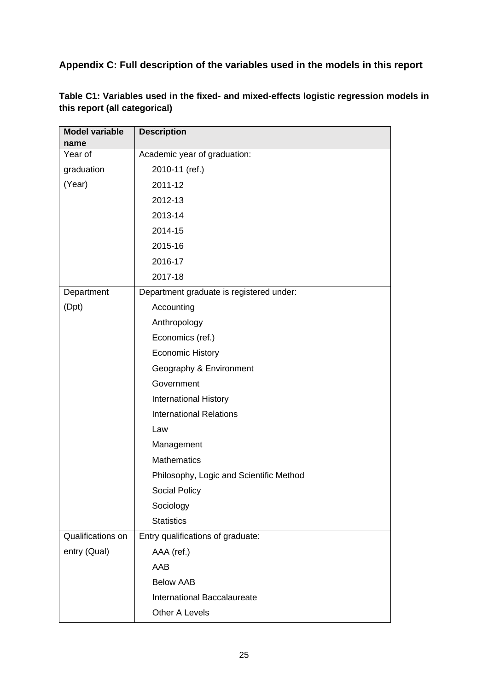**Appendix C: Full description of the variables used in the models in this report**

| <b>Model variable</b>    | <b>Description</b>                       |
|--------------------------|------------------------------------------|
| name<br>Year of          | Academic year of graduation:             |
|                          |                                          |
| graduation               | 2010-11 (ref.)                           |
| (Year)                   | 2011-12                                  |
|                          | 2012-13                                  |
|                          | 2013-14                                  |
|                          | 2014-15                                  |
|                          | 2015-16                                  |
|                          | 2016-17                                  |
|                          | 2017-18                                  |
| Department               | Department graduate is registered under: |
| (Dpt)                    | Accounting                               |
|                          | Anthropology                             |
|                          | Economics (ref.)                         |
|                          | <b>Economic History</b>                  |
|                          | Geography & Environment                  |
|                          | Government                               |
|                          | <b>International History</b>             |
|                          | <b>International Relations</b>           |
|                          | Law                                      |
|                          | Management                               |
|                          | <b>Mathematics</b>                       |
|                          | Philosophy, Logic and Scientific Method  |
|                          | Social Policy                            |
|                          | Sociology                                |
|                          | <b>Statistics</b>                        |
| <b>Qualifications on</b> | Entry qualifications of graduate:        |
| entry (Qual)             | AAA (ref.)                               |
|                          | AAB                                      |
|                          | <b>Below AAB</b>                         |
|                          | International Baccalaureate              |
|                          | Other A Levels                           |

**Table C1: Variables used in the fixed- and mixed-effects logistic regression models in this report (all categorical)**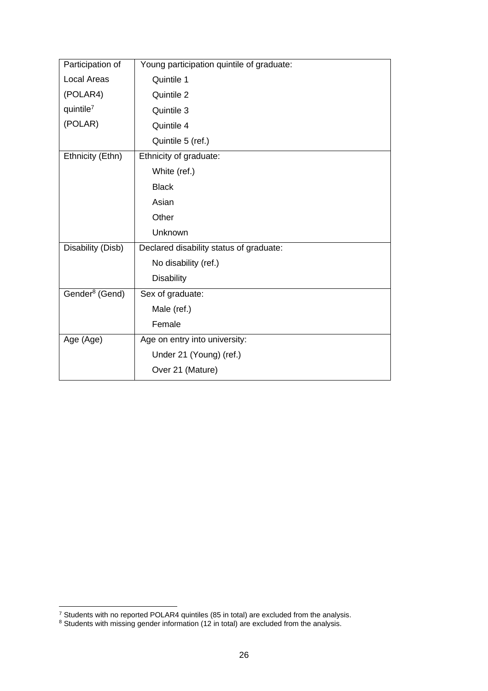| Participation of           | Young participation quintile of graduate: |
|----------------------------|-------------------------------------------|
| <b>Local Areas</b>         | Quintile 1                                |
| (POLAR4)                   | Quintile 2                                |
| quintile $7$               | Quintile 3                                |
| (POLAR)                    | Quintile 4                                |
|                            | Quintile 5 (ref.)                         |
| Ethnicity (Ethn)           | Ethnicity of graduate:                    |
|                            | White (ref.)                              |
|                            | <b>Black</b>                              |
|                            | Asian                                     |
|                            | Other                                     |
|                            | Unknown                                   |
| Disability (Disb)          | Declared disability status of graduate:   |
|                            | No disability (ref.)                      |
|                            | <b>Disability</b>                         |
| Gender <sup>8</sup> (Gend) | Sex of graduate:                          |
|                            | Male (ref.)                               |
|                            | Female                                    |
| Age (Age)                  | Age on entry into university:             |
|                            | Under 21 (Young) (ref.)                   |
|                            | Over 21 (Mature)                          |

<sup>&</sup>lt;sup>7</sup> Students with no reported POLAR4 quintiles (85 in total) are excluded from the analysis.

 $8$  Students with missing gender information (12 in total) are excluded from the analysis.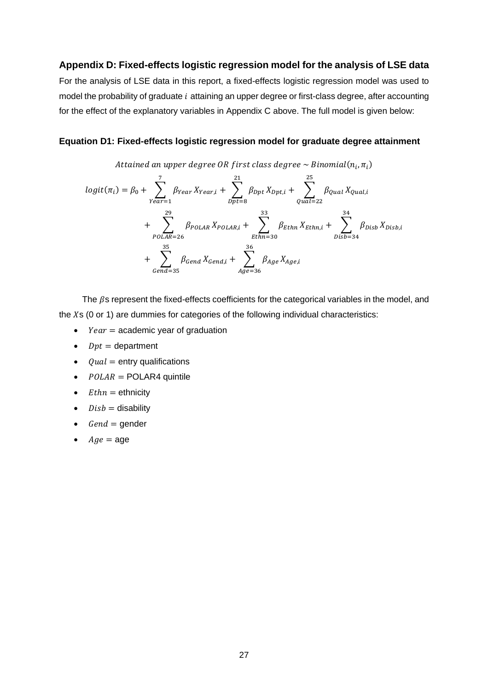#### **Appendix D: Fixed-effects logistic regression model for the analysis of LSE data**

For the analysis of LSE data in this report, a fixed-effects logistic regression model was used to model the probability of graduate  $i$  attaining an upper degree or first-class degree, after accounting for the effect of the explanatory variables in Appendix C above. The full model is given below:

#### **Equation D1: Fixed-effects logistic regression model for graduate degree attainment**

Attained an upper degree OR first class degree  $\sim$  Binomial $(n_{i},\pi_{i})$ 

$$
logit(\pi_i) = \beta_0 + \sum_{Year=1}^{7} \beta_{Year} X_{Year,i} + \sum_{Dpt=8}^{21} \beta_{Dpt} X_{Dpt,i} + \sum_{Qual=22}^{25} \beta_{Qual} X_{Qual,i}
$$
  
+ 
$$
\sum_{POLAR=26}^{29} \beta_{POLAR} X_{POLAR,i} + \sum_{Ethn=30}^{33} \beta_{Ethn} X_{Ethn,i} + \sum_{Disb=34}^{34} \beta_{Disb} X_{Disb,i}
$$
  
+ 
$$
\sum_{Gend=35}^{35} \beta_{Gend} X_{Gend,i} + \sum_{Gend=35}^{35} \beta_{Gend} X_{Gend,i} + \sum_{Age=36}^{36} \beta_{Age} X_{Age,i}
$$

The  $\beta$ s represent the fixed-effects coefficients for the categorical variables in the model, and the  $X$ s (0 or 1) are dummies for categories of the following individual characteristics:

- $Year = academic year of graduation$
- $Dpt =$  department
- $\bullet$  Qual = entry qualifications
- $POLAR = POLARA$  quintile
- $E$ *thn* = ethnicity
- $Disk = disability$
- $Gend = \text{gender}$
- $Age = age$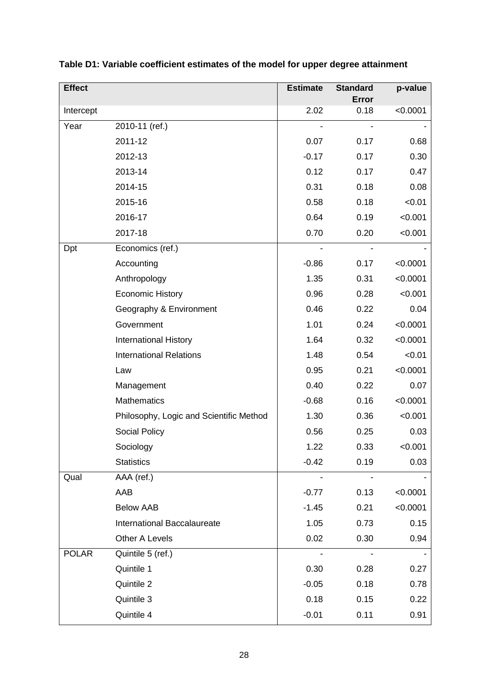| <b>Effect</b> |                                         | <b>Estimate</b> | <b>Standard</b><br>Error | p-value  |
|---------------|-----------------------------------------|-----------------|--------------------------|----------|
| Intercept     |                                         | 2.02            | 0.18                     | < 0.0001 |
| Year          | 2010-11 (ref.)                          |                 |                          |          |
|               | 2011-12                                 | 0.07            | 0.17                     | 0.68     |
|               | 2012-13                                 | $-0.17$         | 0.17                     | 0.30     |
|               | 2013-14                                 | 0.12            | 0.17                     | 0.47     |
|               | 2014-15                                 | 0.31            | 0.18                     | 0.08     |
|               | 2015-16                                 | 0.58            | 0.18                     | < 0.01   |
|               | 2016-17                                 | 0.64            | 0.19                     | < 0.001  |
|               | 2017-18                                 | 0.70            | 0.20                     | < 0.001  |
| Dpt           | Economics (ref.)                        |                 |                          |          |
|               | Accounting                              | $-0.86$         | 0.17                     | < 0.0001 |
|               | Anthropology                            | 1.35            | 0.31                     | < 0.0001 |
|               | <b>Economic History</b>                 | 0.96            | 0.28                     | < 0.001  |
|               | Geography & Environment                 | 0.46            | 0.22                     | 0.04     |
|               | Government                              | 1.01            | 0.24                     | < 0.0001 |
|               | <b>International History</b>            | 1.64            | 0.32                     | < 0.0001 |
|               | <b>International Relations</b>          | 1.48            | 0.54                     | < 0.01   |
|               | Law                                     | 0.95            | 0.21                     | < 0.0001 |
|               | Management                              | 0.40            | 0.22                     | 0.07     |
|               | <b>Mathematics</b>                      | $-0.68$         | 0.16                     | < 0.0001 |
|               | Philosophy, Logic and Scientific Method | 1.30            | 0.36                     | < 0.001  |
|               | Social Policy                           | 0.56            | 0.25                     | 0.03     |
|               | Sociology                               | 1.22            | 0.33                     | < 0.001  |
|               | <b>Statistics</b>                       | $-0.42$         | 0.19                     | 0.03     |
| Qual          | AAA (ref.)                              |                 |                          |          |
|               | AAB                                     | $-0.77$         | 0.13                     | < 0.0001 |
|               | <b>Below AAB</b>                        | $-1.45$         | 0.21                     | < 0.0001 |
|               | International Baccalaureate             | 1.05            | 0.73                     | 0.15     |
|               | Other A Levels                          | 0.02            | 0.30                     | 0.94     |
| <b>POLAR</b>  | Quintile 5 (ref.)                       |                 |                          |          |
|               | Quintile 1                              | 0.30            | 0.28                     | 0.27     |
|               | Quintile 2                              | $-0.05$         | 0.18                     | 0.78     |
|               | Quintile 3                              | 0.18            | 0.15                     | 0.22     |
|               | Quintile 4                              | $-0.01$         | 0.11                     | 0.91     |

**Table D1: Variable coefficient estimates of the model for upper degree attainment**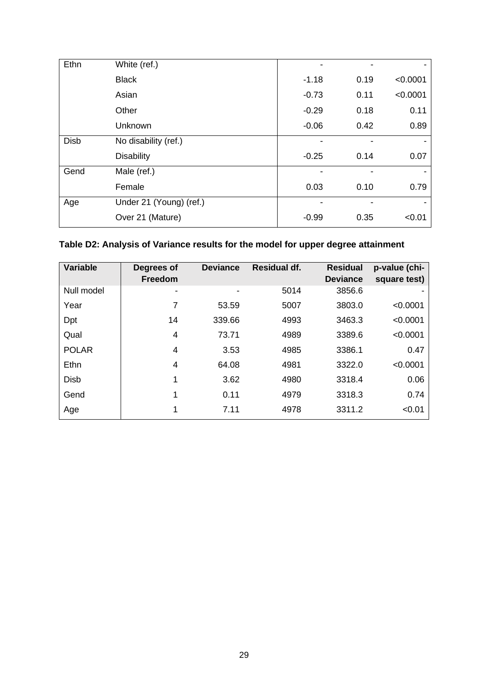| Ethn        | White (ref.)            |         |      |          |
|-------------|-------------------------|---------|------|----------|
|             | <b>Black</b>            | $-1.18$ | 0.19 | < 0.0001 |
|             | Asian                   | $-0.73$ | 0.11 | < 0.0001 |
|             | Other                   | $-0.29$ | 0.18 | 0.11     |
|             | Unknown                 | $-0.06$ | 0.42 | 0.89     |
| <b>Disb</b> | No disability (ref.)    |         |      |          |
|             | <b>Disability</b>       | $-0.25$ | 0.14 | 0.07     |
| Gend        | Male (ref.)             |         |      |          |
|             | Female                  | 0.03    | 0.10 | 0.79     |
| Age         | Under 21 (Young) (ref.) |         |      |          |
|             | Over 21 (Mature)        | $-0.99$ | 0.35 | < 0.01   |

## **Table D2: Analysis of Variance results for the model for upper degree attainment**

| <b>Variable</b> | Degrees of<br><b>Freedom</b> | <b>Deviance</b> | <b>Residual df.</b> | <b>Residual</b><br><b>Deviance</b> | p-value (chi-<br>square test) |
|-----------------|------------------------------|-----------------|---------------------|------------------------------------|-------------------------------|
| Null model      |                              |                 | 5014                | 3856.6                             |                               |
| Year            |                              | 53.59           | 5007                | 3803.0                             | < 0.0001                      |
| Dpt             | 14                           | 339.66          | 4993                | 3463.3                             | < 0.0001                      |
| Qual            | 4                            | 73.71           | 4989                | 3389.6                             | < 0.0001                      |
| <b>POLAR</b>    | 4                            | 3.53            | 4985                | 3386.1                             | 0.47                          |
| Ethn            | 4                            | 64.08           | 4981                | 3322.0                             | < 0.0001                      |
| <b>Disb</b>     | 1                            | 3.62            | 4980                | 3318.4                             | 0.06                          |
| Gend            | 1                            | 0.11            | 4979                | 3318.3                             | 0.74                          |
| Age             | 1                            | 7.11            | 4978                | 3311.2                             | < 0.01                        |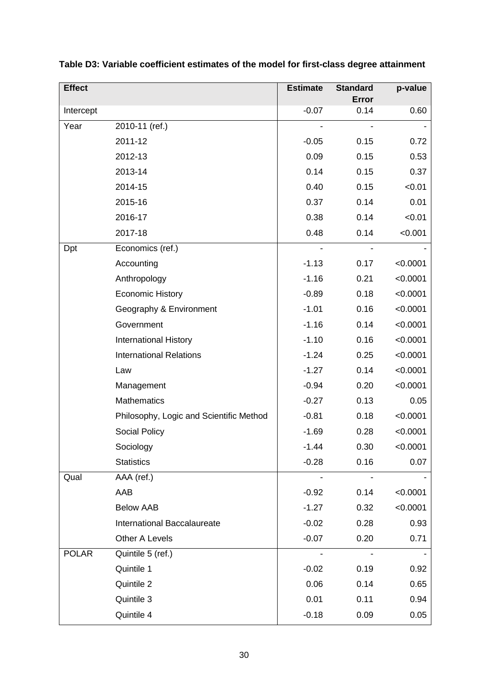| <b>Effect</b> |                                         | <b>Estimate</b> | <b>Standard</b> | p-value  |
|---------------|-----------------------------------------|-----------------|-----------------|----------|
|               |                                         |                 | Error           |          |
| Intercept     |                                         | $-0.07$         | 0.14            | 0.60     |
| Year          | 2010-11 (ref.)                          |                 |                 |          |
|               | 2011-12                                 | $-0.05$         | 0.15            | 0.72     |
|               | 2012-13                                 | 0.09            | 0.15            | 0.53     |
|               | 2013-14                                 | 0.14            | 0.15            | 0.37     |
|               | 2014-15                                 | 0.40            | 0.15            | < 0.01   |
|               | 2015-16                                 | 0.37            | 0.14            | 0.01     |
|               | 2016-17                                 | 0.38            | 0.14            | < 0.01   |
|               | 2017-18                                 | 0.48            | 0.14            | < 0.001  |
| Dpt           | Economics (ref.)                        |                 |                 |          |
|               | Accounting                              | $-1.13$         | 0.17            | < 0.0001 |
|               | Anthropology                            | $-1.16$         | 0.21            | < 0.0001 |
|               | <b>Economic History</b>                 | $-0.89$         | 0.18            | < 0.0001 |
|               | Geography & Environment                 | $-1.01$         | 0.16            | < 0.0001 |
|               | Government                              | $-1.16$         | 0.14            | < 0.0001 |
|               | <b>International History</b>            | $-1.10$         | 0.16            | < 0.0001 |
|               | <b>International Relations</b>          | $-1.24$         | 0.25            | < 0.0001 |
|               | Law                                     | $-1.27$         | 0.14            | < 0.0001 |
|               | Management                              | $-0.94$         | 0.20            | < 0.0001 |
|               | <b>Mathematics</b>                      | $-0.27$         | 0.13            | 0.05     |
|               | Philosophy, Logic and Scientific Method | $-0.81$         | 0.18            | < 0.0001 |
|               | Social Policy                           | $-1.69$         | 0.28            | < 0.0001 |
|               | Sociology                               | $-1.44$         | 0.30            | <0.0001  |
|               | <b>Statistics</b>                       | $-0.28$         | 0.16            | 0.07     |
| Qual          | AAA (ref.)                              |                 |                 |          |
|               | AAB                                     | $-0.92$         | 0.14            | < 0.0001 |
|               | <b>Below AAB</b>                        | $-1.27$         | 0.32            | < 0.0001 |
|               | International Baccalaureate             | $-0.02$         | 0.28            | 0.93     |
|               | Other A Levels                          | $-0.07$         | 0.20            | 0.71     |
| <b>POLAR</b>  | Quintile 5 (ref.)                       |                 |                 |          |
|               | Quintile 1                              | $-0.02$         | 0.19            | 0.92     |
|               | Quintile 2                              | 0.06            | 0.14            | 0.65     |
|               | Quintile 3                              | 0.01            | 0.11            | 0.94     |
|               | Quintile 4                              | $-0.18$         | 0.09            | 0.05     |

**Table D3: Variable coefficient estimates of the model for first-class degree attainment**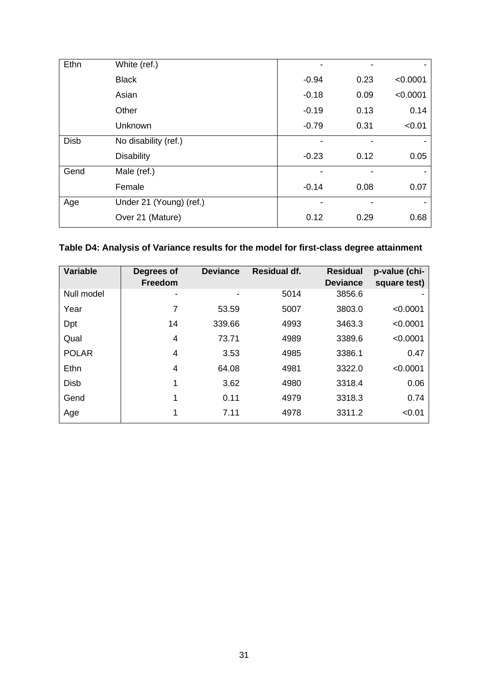| Ethn        | White (ref.)            |         |      |          |
|-------------|-------------------------|---------|------|----------|
|             | <b>Black</b>            | $-0.94$ | 0.23 | < 0.0001 |
|             | Asian                   | $-0.18$ | 0.09 | < 0.0001 |
|             | Other                   | $-0.19$ | 0.13 | 0.14     |
|             | Unknown                 | $-0.79$ | 0.31 | < 0.01   |
| <b>Disb</b> | No disability (ref.)    |         |      |          |
|             | <b>Disability</b>       | $-0.23$ | 0.12 | 0.05     |
| Gend        | Male (ref.)             |         |      |          |
|             | Female                  | $-0.14$ | 0.08 | 0.07     |
| Age         | Under 21 (Young) (ref.) |         |      |          |
|             | Over 21 (Mature)        | 0.12    | 0.29 | 0.68     |

## **Table D4: Analysis of Variance results for the model for first-class degree attainment**

| <b>Variable</b> | Degrees of<br><b>Freedom</b> | <b>Deviance</b> | <b>Residual df.</b> | <b>Residual</b><br><b>Deviance</b> | p-value (chi-<br>square test) |
|-----------------|------------------------------|-----------------|---------------------|------------------------------------|-------------------------------|
| Null model      |                              |                 | 5014                | 3856.6                             |                               |
| Year            | 7                            | 53.59           | 5007                | 3803.0                             | < 0.0001                      |
| Dpt             | 14                           | 339.66          | 4993                | 3463.3                             | < 0.0001                      |
| Qual            | 4                            | 73.71           | 4989                | 3389.6                             | < 0.0001                      |
| <b>POLAR</b>    | 4                            | 3.53            | 4985                | 3386.1                             | 0.47                          |
| Ethn            | 4                            | 64.08           | 4981                | 3322.0                             | < 0.0001                      |
| <b>Disb</b>     | 1                            | 3.62            | 4980                | 3318.4                             | 0.06                          |
| Gend            | 1                            | 0.11            | 4979                | 3318.3                             | 0.74                          |
| Age             | 1                            | 7.11            | 4978                | 3311.2                             | < 0.01                        |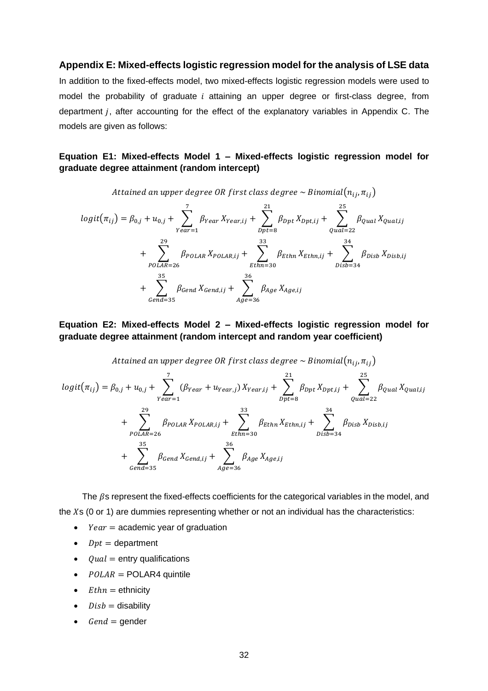#### **Appendix E: Mixed-effects logistic regression model for the analysis of LSE data**

In addition to the fixed-effects model, two mixed-effects logistic regression models were used to model the probability of graduate  $i$  attaining an upper degree or first-class degree, from department *j*, after accounting for the effect of the explanatory variables in Appendix C. The models are given as follows:

#### **Equation E1: Mixed-effects Model 1 – Mixed-effects logistic regression model for graduate degree attainment (random intercept)**

Attained an upper degree OR first class degree  $\sim$  Binomial $(n_{ij}, n_{ij})$ 

$$
logit(\pi_{ij}) = \beta_{0,j} + u_{0,j} + \sum_{Year=1}^{7} \beta_{Year} X_{Year,ij} + \sum_{Dpt=8}^{21} \beta_{Dpt} X_{Dpt,ij} + \sum_{Qual=22}^{25} \beta_{Qual} X_{Qual,ij}
$$
  
+ 
$$
\sum_{POLAR=26}^{29} \beta_{POLAR} X_{POLAR,ij} + \sum_{Ethn=30}^{33} \beta_{Ethn} X_{Ethn,ij} + \sum_{Disb=34}^{34} \beta_{Disb} X_{Disb,ij}
$$
  
+ 
$$
\sum_{Gend=35}^{35} \beta_{Gend} X_{Gend,ij} + \sum_{Qual=35}^{35} \beta_{Age} X_{Age,ij}
$$

#### **Equation E2: Mixed-effects Model 2 – Mixed-effects logistic regression model for graduate degree attainment (random intercept and random year coefficient)**

Attained an upper degree OR first class degree 
$$
\sim
$$
 Binomial $(n_{ij}, \pi_{ij})$ 

 $logit(\pi_{ij}) = \beta_{0,j} + u_{0,j} + \sum_{\langle \beta_{Year} + u_{Year,j} \rangle}$ 7 Year=1  $X_{Year,ij}$  +  $\sum \beta_{Dpt}$ 21  $_{Dpt=8}$  $X_{Dpt,ij}$  +  $\qquad$   $\qquad$   $\qquad$   $\beta_{qual}$ 25 =22  $X_{Qual, ij}$  $+$   $\sum$   $\beta_{POLAR}$ 29 POLAR=26  $X_{POLAR,ij}$  +  $\sum_{Ethn}$ 33 Ethn=30  $X_{Ethn,ij}$  +  $\sum_{j}$   $\beta_{Disk}$ 34  $_{Disb=34}$  $X_{Disb,ij}$  $+$   $\sum$   $\beta_{Gend}$ 35  $Gend = 35$  $X_{Gend,ij} + \sum_{\beta_{Age}}$ 36  $Age = 36$  $X_{Age,ij}$ 

The  $\beta$ s represent the fixed-effects coefficients for the categorical variables in the model, and the  $X$ s (0 or 1) are dummies representing whether or not an individual has the characteristics:

- $Year = academic year$  of graduation
- $Dpt =$  department
- $\bullet$  Qual = entry qualifications
- $POLAR = POLARA$  quintile
- $E$ *thn* = ethnicity
- $Disk = disability$
- $Gend = \text{gender}$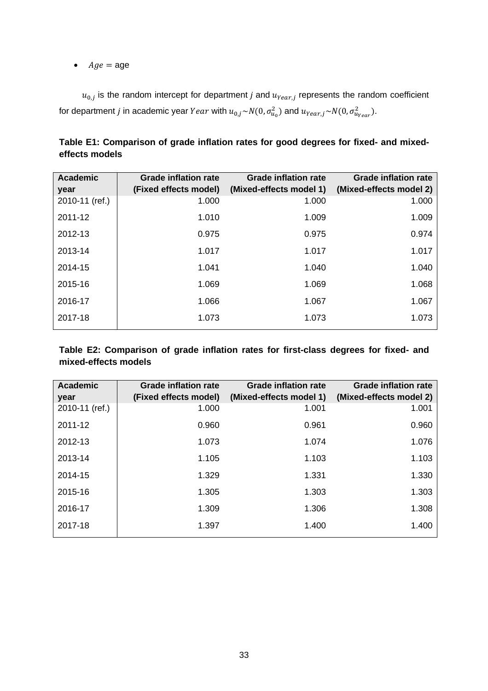•  $Age = age$ 

 $u_{0,j}$  is the random intercept for department j and  $u_{Year,j}$  represents the random coefficient for department  $j$  in academic year  $Year$  with  $u_{0,j}{\sim}N(0,\sigma_{u_0}^2)$  and  $u_{Year,j}{\sim}N(0,\sigma_{u_{Year}}^2).$ 

|                       |                             | <b>Grade inflation rate</b> |
|-----------------------|-----------------------------|-----------------------------|
| (Fixed effects model) | (Mixed-effects model 1)     | (Mixed-effects model 2)     |
| 1.000                 | 1.000                       | 1.000                       |
| 1.010                 | 1.009                       | 1.009                       |
| 0.975                 | 0.975                       | 0.974                       |
| 1.017                 | 1.017                       | 1.017                       |
| 1.041                 | 1.040                       | 1.040                       |
| 1.069                 | 1.069                       | 1.068                       |
| 1.066                 | 1.067                       | 1.067                       |
| 1.073                 | 1.073                       | 1.073                       |
|                       | <b>Grade inflation rate</b> | <b>Grade inflation rate</b> |

**Table E1: Comparison of grade inflation rates for good degrees for fixed- and mixedeffects models**

**Table E2: Comparison of grade inflation rates for first-class degrees for fixed- and mixed-effects models**

| <b>Academic</b><br>year | <b>Grade inflation rate</b><br>(Fixed effects model) | <b>Grade inflation rate</b><br>(Mixed-effects model 1) | <b>Grade inflation rate</b><br>(Mixed-effects model 2) |
|-------------------------|------------------------------------------------------|--------------------------------------------------------|--------------------------------------------------------|
| 2010-11 (ref.)          | 1.000                                                | 1.001                                                  | 1.001                                                  |
| 2011-12                 | 0.960                                                | 0.961                                                  | 0.960                                                  |
| 2012-13                 | 1.073                                                | 1.074                                                  | 1.076                                                  |
| 2013-14                 | 1.105                                                | 1.103                                                  | 1.103                                                  |
| 2014-15                 | 1.329                                                | 1.331                                                  | 1.330                                                  |
| 2015-16                 | 1.305                                                | 1.303                                                  | 1.303                                                  |
| 2016-17                 | 1.309                                                | 1.306                                                  | 1.308                                                  |
| 2017-18                 | 1.397                                                | 1.400                                                  | 1.400                                                  |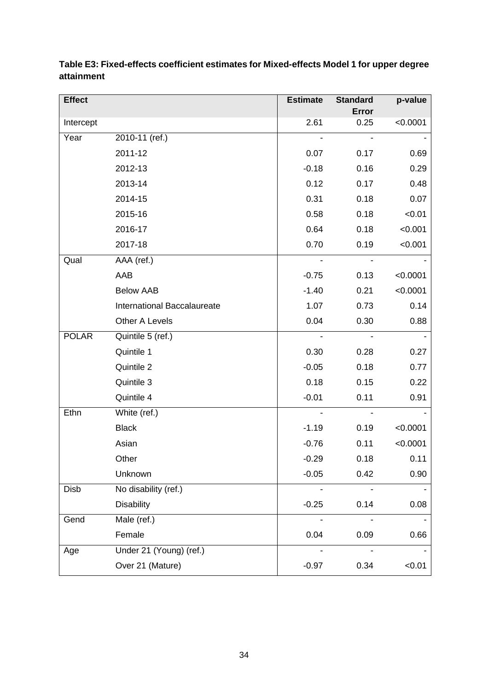| <b>Effect</b> |                             | <b>Estimate</b>          | <b>Standard</b> | p-value  |
|---------------|-----------------------------|--------------------------|-----------------|----------|
| Intercept     |                             | 2.61                     | Error<br>0.25   | < 0.0001 |
| Year          | 2010-11 (ref.)              |                          |                 |          |
|               |                             |                          |                 |          |
|               | 2011-12                     | 0.07                     | 0.17            | 0.69     |
|               | 2012-13                     | $-0.18$                  | 0.16            | 0.29     |
|               | 2013-14                     | 0.12                     | 0.17            | 0.48     |
|               | 2014-15                     | 0.31                     | 0.18            | 0.07     |
|               | 2015-16                     | 0.58                     | 0.18            | < 0.01   |
|               | 2016-17                     | 0.64                     | 0.18            | < 0.001  |
|               | 2017-18                     | 0.70                     | 0.19            | < 0.001  |
| Qual          | AAA (ref.)                  | $\overline{\phantom{a}}$ | $\blacksquare$  |          |
|               | AAB                         | $-0.75$                  | 0.13            | < 0.0001 |
|               | <b>Below AAB</b>            | $-1.40$                  | 0.21            | < 0.0001 |
|               | International Baccalaureate | 1.07                     | 0.73            | 0.14     |
|               | Other A Levels              | 0.04                     | 0.30            | 0.88     |
| <b>POLAR</b>  | Quintile 5 (ref.)           |                          |                 |          |
|               | Quintile 1                  | 0.30                     | 0.28            | 0.27     |
|               | Quintile 2                  | $-0.05$                  | 0.18            | 0.77     |
|               | Quintile 3                  | 0.18                     | 0.15            | 0.22     |
|               | Quintile 4                  | $-0.01$                  | 0.11            | 0.91     |
| Ethn          | White (ref.)                | $\blacksquare$           |                 |          |
|               | <b>Black</b>                | $-1.19$                  | 0.19            | < 0.0001 |
|               | Asian                       | $-0.76$                  | 0.11            | < 0.0001 |
|               | Other                       | $-0.29$                  | 0.18            | 0.11     |
|               | Unknown                     | $-0.05$                  | 0.42            | 0.90     |
| Disb          | No disability (ref.)        |                          |                 |          |
|               | <b>Disability</b>           | $-0.25$                  | 0.14            | 0.08     |
| Gend          | Male (ref.)                 |                          |                 |          |
|               | Female                      | 0.04                     | 0.09            | 0.66     |
| Age           | Under 21 (Young) (ref.)     |                          |                 |          |
|               | Over 21 (Mature)            | $-0.97$                  | 0.34            | < 0.01   |

**Table E3: Fixed-effects coefficient estimates for Mixed-effects Model 1 for upper degree attainment**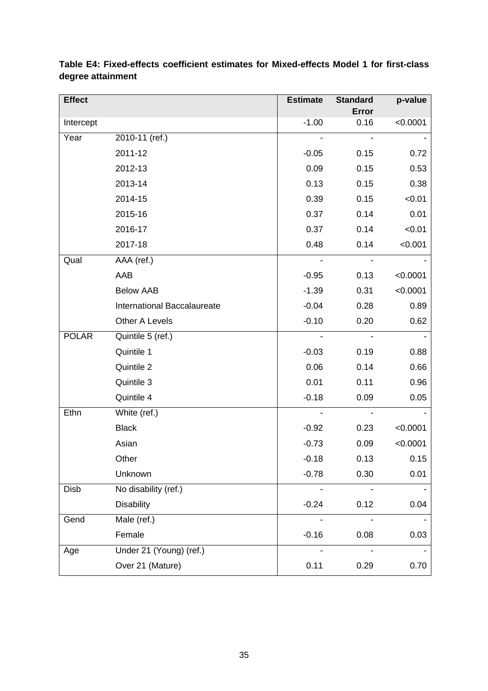| <b>Effect</b> |                             | <b>Estimate</b> | <b>Standard</b> | p-value  |
|---------------|-----------------------------|-----------------|-----------------|----------|
| Intercept     |                             | $-1.00$         | Error<br>0.16   | < 0.0001 |
| Year          | 2010-11 (ref.)              |                 |                 |          |
|               | 2011-12                     | $-0.05$         | 0.15            | 0.72     |
|               | 2012-13                     | 0.09            | 0.15            | 0.53     |
|               | 2013-14                     | 0.13            | 0.15            | 0.38     |
|               |                             |                 |                 |          |
|               | 2014-15                     | 0.39            | 0.15            | < 0.01   |
|               | 2015-16                     | 0.37            | 0.14            | 0.01     |
|               | 2016-17                     | 0.37            | 0.14            | < 0.01   |
|               | 2017-18                     | 0.48            | 0.14            | < 0.001  |
| Qual          | AAA (ref.)                  |                 | $\blacksquare$  |          |
|               | AAB                         | $-0.95$         | 0.13            | < 0.0001 |
|               | <b>Below AAB</b>            | $-1.39$         | 0.31            | < 0.0001 |
|               | International Baccalaureate | $-0.04$         | 0.28            | 0.89     |
|               | Other A Levels              | $-0.10$         | 0.20            | 0.62     |
| <b>POLAR</b>  | Quintile 5 (ref.)           |                 |                 |          |
|               | Quintile 1                  | $-0.03$         | 0.19            | 0.88     |
|               | Quintile 2                  | 0.06            | 0.14            | 0.66     |
|               | Quintile 3                  | 0.01            | 0.11            | 0.96     |
|               | Quintile 4                  | $-0.18$         | 0.09            | 0.05     |
| Ethn          | White (ref.)                |                 |                 |          |
|               | <b>Black</b>                | $-0.92$         | 0.23            | < 0.0001 |
|               | Asian                       | $-0.73$         | 0.09            | < 0.0001 |
|               | Other                       | $-0.18$         | 0.13            | 0.15     |
|               | Unknown                     | $-0.78$         | 0.30            | 0.01     |
| Disb          | No disability (ref.)        |                 |                 |          |
|               | <b>Disability</b>           | $-0.24$         | 0.12            | 0.04     |
| Gend          | Male (ref.)                 |                 |                 |          |
|               | Female                      | $-0.16$         | 0.08            | 0.03     |
| Age           | Under 21 (Young) (ref.)     |                 |                 |          |
|               | Over 21 (Mature)            | 0.11            | 0.29            | 0.70     |

**Table E4: Fixed-effects coefficient estimates for Mixed-effects Model 1 for first-class degree attainment**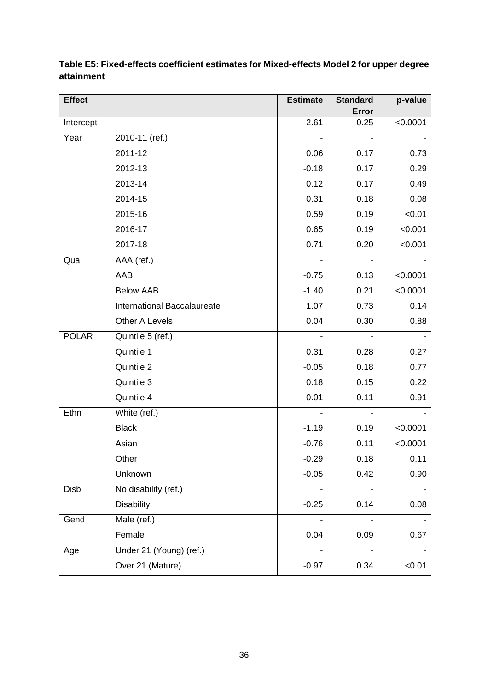| <b>Effect</b> |                             | <b>Estimate</b> | <b>Standard</b> | p-value  |
|---------------|-----------------------------|-----------------|-----------------|----------|
|               |                             |                 | <b>Error</b>    |          |
| Intercept     |                             | 2.61            | 0.25            | < 0.0001 |
| Year          | 2010-11 (ref.)              |                 |                 |          |
|               | 2011-12                     | 0.06            | 0.17            | 0.73     |
|               | 2012-13                     | $-0.18$         | 0.17            | 0.29     |
|               | 2013-14                     | 0.12            | 0.17            | 0.49     |
|               | 2014-15                     | 0.31            | 0.18            | 0.08     |
|               | 2015-16                     | 0.59            | 0.19            | < 0.01   |
|               | 2016-17                     | 0.65            | 0.19            | < 0.001  |
|               | 2017-18                     | 0.71            | 0.20            | < 0.001  |
| Qual          | AAA (ref.)                  |                 |                 |          |
|               | AAB                         | $-0.75$         | 0.13            | < 0.0001 |
|               | <b>Below AAB</b>            | $-1.40$         | 0.21            | < 0.0001 |
|               | International Baccalaureate | 1.07            | 0.73            | 0.14     |
|               | Other A Levels              | 0.04            | 0.30            | 0.88     |
| <b>POLAR</b>  | Quintile 5 (ref.)           |                 |                 |          |
|               | Quintile 1                  | 0.31            | 0.28            | 0.27     |
|               | Quintile 2                  | $-0.05$         | 0.18            | 0.77     |
|               | Quintile 3                  | 0.18            | 0.15            | 0.22     |
|               | Quintile 4                  | $-0.01$         | 0.11            | 0.91     |
| Ethn          | White (ref.)                |                 |                 |          |
|               | <b>Black</b>                | $-1.19$         | 0.19            | < 0.0001 |
|               | Asian                       | $-0.76$         | 0.11            | < 0.0001 |
|               | Other                       | $-0.29$         | 0.18            | 0.11     |
|               | Unknown                     | $-0.05$         | 0.42            | 0.90     |
| Disb          | No disability (ref.)        |                 |                 |          |
|               | <b>Disability</b>           | $-0.25$         | 0.14            | 0.08     |
| Gend          | Male (ref.)                 |                 |                 |          |
|               | Female                      | 0.04            | 0.09            | 0.67     |
| Age           | Under 21 (Young) (ref.)     |                 |                 |          |
|               | Over 21 (Mature)            | $-0.97$         | 0.34            | < 0.01   |

## **Table E5: Fixed-effects coefficient estimates for Mixed-effects Model 2 for upper degree attainment**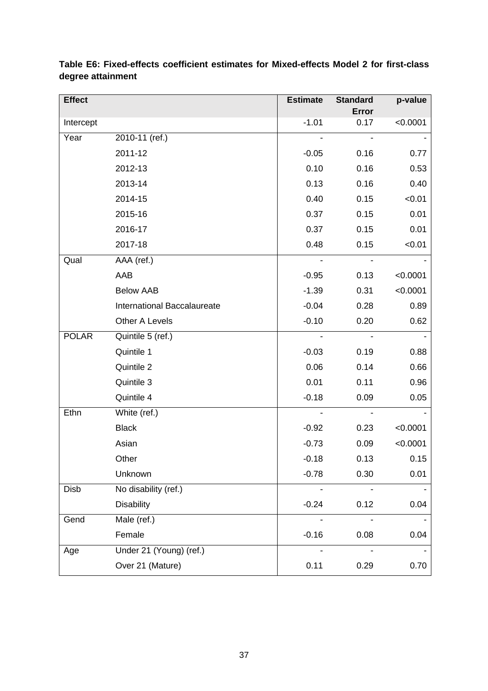| <b>Effect</b> |                             | <b>Estimate</b> | <b>Standard</b> | p-value  |
|---------------|-----------------------------|-----------------|-----------------|----------|
| Intercept     |                             | $-1.01$         | Error<br>0.17   | < 0.0001 |
| Year          | 2010-11 (ref.)              |                 |                 |          |
|               | 2011-12                     | $-0.05$         | 0.16            | 0.77     |
|               | 2012-13                     | 0.10            | 0.16            | 0.53     |
|               | 2013-14                     | 0.13            | 0.16            | 0.40     |
|               | 2014-15                     | 0.40            | 0.15            | < 0.01   |
|               | 2015-16                     | 0.37            | 0.15            | 0.01     |
|               | 2016-17                     | 0.37            | 0.15            | 0.01     |
|               | 2017-18                     | 0.48            | 0.15            | < 0.01   |
| Qual          | AAA (ref.)                  |                 |                 |          |
|               | AAB                         | $-0.95$         | 0.13            | < 0.0001 |
|               | <b>Below AAB</b>            | $-1.39$         | 0.31            | < 0.0001 |
|               | International Baccalaureate | $-0.04$         | 0.28            | 0.89     |
|               | Other A Levels              | $-0.10$         | 0.20            | 0.62     |
| <b>POLAR</b>  | Quintile 5 (ref.)           |                 |                 |          |
|               | Quintile 1                  | $-0.03$         | 0.19            | 0.88     |
|               | Quintile 2                  | 0.06            | 0.14            | 0.66     |
|               | Quintile 3                  | 0.01            | 0.11            | 0.96     |
|               | Quintile 4                  | $-0.18$         | 0.09            | 0.05     |
| Ethn          | White (ref.)                |                 |                 |          |
|               | <b>Black</b>                | $-0.92$         | 0.23            | < 0.0001 |
|               | Asian                       | $-0.73$         | 0.09            | < 0.0001 |
|               | Other                       | $-0.18$         | 0.13            | 0.15     |
|               | Unknown                     | $-0.78$         | 0.30            | 0.01     |
| Disb          | No disability (ref.)        |                 |                 |          |
|               | <b>Disability</b>           | $-0.24$         | 0.12            | 0.04     |
| Gend          | Male (ref.)                 |                 |                 |          |
|               | Female                      | $-0.16$         | 0.08            | 0.04     |
| Age           | Under 21 (Young) (ref.)     |                 |                 |          |
|               | Over 21 (Mature)            | 0.11            | 0.29            | 0.70     |

**Table E6: Fixed-effects coefficient estimates for Mixed-effects Model 2 for first-class degree attainment**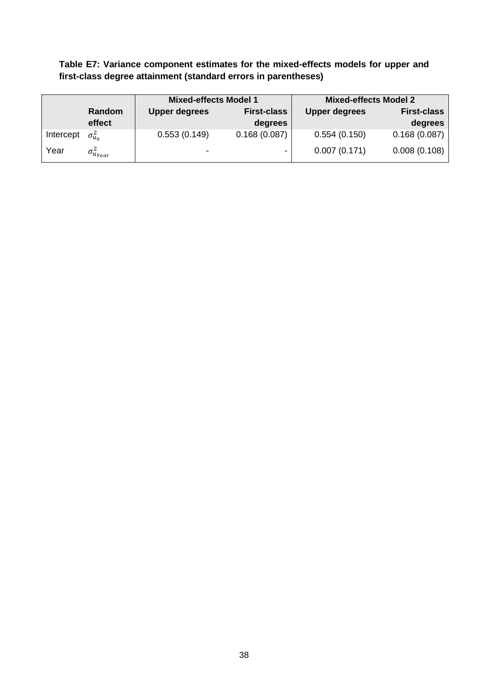**Table E7: Variance component estimates for the mixed-effects models for upper and first-class degree attainment (standard errors in parentheses)**

|           |                       | <b>Mixed-effects Model 1</b> |                    | <b>Mixed-effects Model 2</b> |                    |
|-----------|-----------------------|------------------------------|--------------------|------------------------------|--------------------|
|           | Random                | <b>Upper degrees</b>         | <b>First-class</b> | <b>Upper degrees</b>         | <b>First-class</b> |
|           | effect                |                              | degrees            |                              | degrees            |
| Intercept | $\sigma_{u_0}^2$      | 0.553(0.149)                 | 0.168(0.087)       | 0.554(0.150)                 | 0.168(0.087)       |
| Year      | $\sigma^2_{u_{Year}}$ | $\overline{\phantom{a}}$     |                    | 0.007(0.171)                 | 0.008(0.108)       |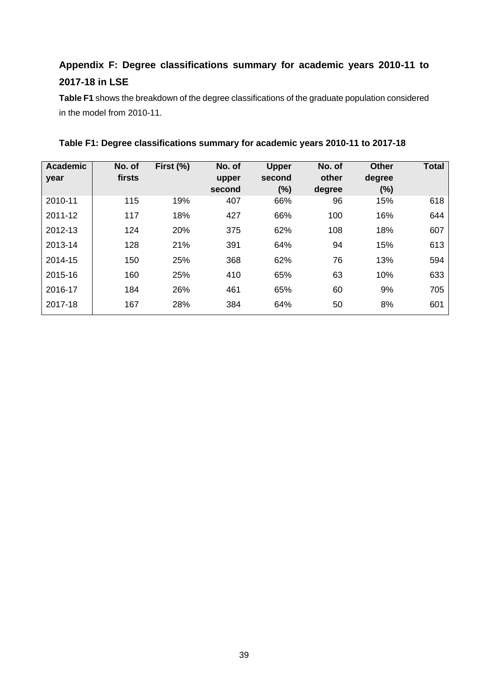# **Appendix F: Degree classifications summary for academic years 2010-11 to 2017-18 in LSE**

**Table F1** shows the breakdown of the degree classifications of the graduate population considered in the model from 2010-11.

| <b>Academic</b><br>year | No. of<br>firsts | First (%) | No. of<br>upper<br>second | <b>Upper</b><br>second<br>(%) | No. of<br>other<br>degree | <b>Other</b><br>degree<br>(%) | <b>Total</b> |
|-------------------------|------------------|-----------|---------------------------|-------------------------------|---------------------------|-------------------------------|--------------|
| 2010-11                 | 115              | 19%       | 407                       | 66%                           | 96                        | 15%                           | 618          |
| 2011-12                 | 117              | 18%       | 427                       | 66%                           | 100                       | 16%                           | 644          |
| 2012-13                 | 124              | 20%       | 375                       | 62%                           | 108                       | 18%                           | 607          |
| 2013-14                 | 128              | 21%       | 391                       | 64%                           | 94                        | 15%                           | 613          |
| 2014-15                 | 150              | 25%       | 368                       | 62%                           | 76                        | 13%                           | 594          |
| 2015-16                 | 160              | 25%       | 410                       | 65%                           | 63                        | 10%                           | 633          |
| 2016-17                 | 184              | 26%       | 461                       | 65%                           | 60                        | 9%                            | 705          |
| 2017-18                 | 167              | 28%       | 384                       | 64%                           | 50                        | 8%                            | 601          |

**Table F1: Degree classifications summary for academic years 2010-11 to 2017-18**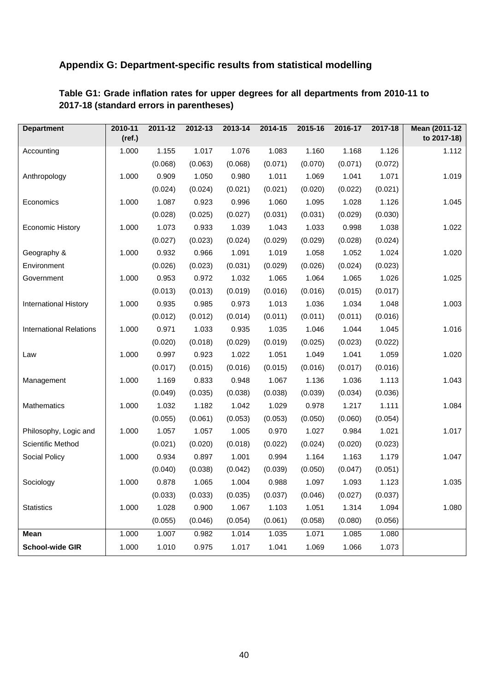## **Appendix G: Department-specific results from statistical modelling**

| <b>Department</b>              | 2010-11<br>(ref.) | 2011-12 | 2012-13 | 2013-14 | 2014-15 | 2015-16 | 2016-17 | 2017-18 | Mean (2011-12<br>to 2017-18) |
|--------------------------------|-------------------|---------|---------|---------|---------|---------|---------|---------|------------------------------|
| Accounting                     | 1.000             | 1.155   | 1.017   | 1.076   | 1.083   | 1.160   | 1.168   | 1.126   | 1.112                        |
|                                |                   | (0.068) | (0.063) | (0.068) | (0.071) | (0.070) | (0.071) | (0.072) |                              |
| Anthropology                   | 1.000             | 0.909   | 1.050   | 0.980   | 1.011   | 1.069   | 1.041   | 1.071   | 1.019                        |
|                                |                   | (0.024) | (0.024) | (0.021) | (0.021) | (0.020) | (0.022) | (0.021) |                              |
| Economics                      | 1.000             | 1.087   | 0.923   | 0.996   | 1.060   | 1.095   | 1.028   | 1.126   | 1.045                        |
|                                |                   | (0.028) | (0.025) | (0.027) | (0.031) | (0.031) | (0.029) | (0.030) |                              |
| <b>Economic History</b>        | 1.000             | 1.073   | 0.933   | 1.039   | 1.043   | 1.033   | 0.998   | 1.038   | 1.022                        |
|                                |                   | (0.027) | (0.023) | (0.024) | (0.029) | (0.029) | (0.028) | (0.024) |                              |
| Geography &                    | 1.000             | 0.932   | 0.966   | 1.091   | 1.019   | 1.058   | 1.052   | 1.024   | 1.020                        |
| Environment                    |                   | (0.026) | (0.023) | (0.031) | (0.029) | (0.026) | (0.024) | (0.023) |                              |
| Government                     | 1.000             | 0.953   | 0.972   | 1.032   | 1.065   | 1.064   | 1.065   | 1.026   | 1.025                        |
|                                |                   | (0.013) | (0.013) | (0.019) | (0.016) | (0.016) | (0.015) | (0.017) |                              |
| International History          | 1.000             | 0.935   | 0.985   | 0.973   | 1.013   | 1.036   | 1.034   | 1.048   | 1.003                        |
|                                |                   | (0.012) | (0.012) | (0.014) | (0.011) | (0.011) | (0.011) | (0.016) |                              |
| <b>International Relations</b> | 1.000             | 0.971   | 1.033   | 0.935   | 1.035   | 1.046   | 1.044   | 1.045   | 1.016                        |
|                                |                   | (0.020) | (0.018) | (0.029) | (0.019) | (0.025) | (0.023) | (0.022) |                              |
| Law                            | 1.000             | 0.997   | 0.923   | 1.022   | 1.051   | 1.049   | 1.041   | 1.059   | 1.020                        |
|                                |                   | (0.017) | (0.015) | (0.016) | (0.015) | (0.016) | (0.017) | (0.016) |                              |
| Management                     | 1.000             | 1.169   | 0.833   | 0.948   | 1.067   | 1.136   | 1.036   | 1.113   | 1.043                        |
|                                |                   | (0.049) | (0.035) | (0.038) | (0.038) | (0.039) | (0.034) | (0.036) |                              |
| Mathematics                    | 1.000             | 1.032   | 1.182   | 1.042   | 1.029   | 0.978   | 1.217   | 1.111   | 1.084                        |
|                                |                   | (0.055) | (0.061) | (0.053) | (0.053) | (0.050) | (0.060) | (0.054) |                              |
| Philosophy, Logic and          | 1.000             | 1.057   | 1.057   | 1.005   | 0.970   | 1.027   | 0.984   | 1.021   | 1.017                        |
| Scientific Method              |                   | (0.021) | (0.020) | (0.018) | (0.022) | (0.024) | (0.020) | (0.023) |                              |
| Social Policy                  | 1.000             | 0.934   | 0.897   | 1.001   | 0.994   | 1.164   | 1.163   | 1.179   | 1.047                        |
|                                |                   | (0.040) | (0.038) | (0.042) | (0.039) | (0.050) | (0.047) | (0.051) |                              |
| Sociology                      | 1.000             | 0.878   | 1.065   | 1.004   | 0.988   | 1.097   | 1.093   | 1.123   | 1.035                        |
|                                |                   | (0.033) | (0.033) | (0.035) | (0.037) | (0.046) | (0.027) | (0.037) |                              |
| <b>Statistics</b>              | 1.000             | 1.028   | 0.900   | 1.067   | 1.103   | 1.051   | 1.314   | 1.094   | 1.080                        |
|                                |                   | (0.055) | (0.046) | (0.054) | (0.061) | (0.058) | (0.080) | (0.056) |                              |
| <b>Mean</b>                    | 1.000             | 1.007   | 0.982   | 1.014   | 1.035   | 1.071   | 1.085   | 1.080   |                              |
| School-wide GIR                | 1.000             | 1.010   | 0.975   | 1.017   | 1.041   | 1.069   | 1.066   | 1.073   |                              |

## **Table G1: Grade inflation rates for upper degrees for all departments from 2010-11 to 2017-18 (standard errors in parentheses)**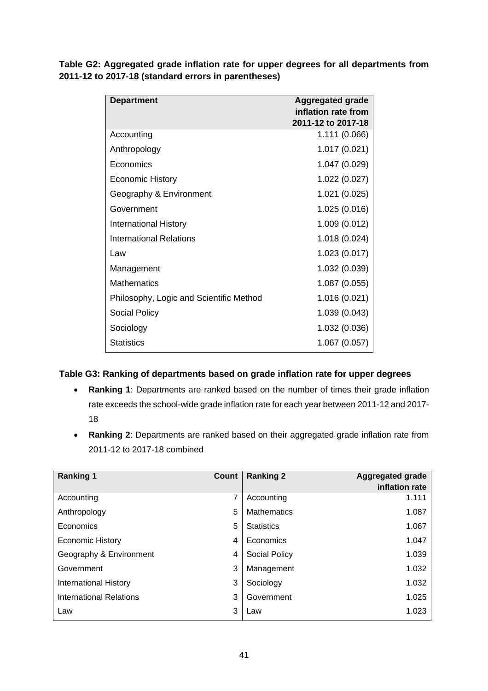**Table G2: Aggregated grade inflation rate for upper degrees for all departments from 2011-12 to 2017-18 (standard errors in parentheses)**

| <b>Department</b>                       | <b>Aggregated grade</b><br>inflation rate from<br>2011-12 to 2017-18 |
|-----------------------------------------|----------------------------------------------------------------------|
| Accounting                              | 1.111 (0.066)                                                        |
| Anthropology                            | 1.017 (0.021)                                                        |
| Economics                               | 1.047 (0.029)                                                        |
| <b>Economic History</b>                 | 1.022 (0.027)                                                        |
| Geography & Environment                 | 1.021 (0.025)                                                        |
| Government                              | 1.025 (0.016)                                                        |
| <b>International History</b>            | 1.009 (0.012)                                                        |
| <b>International Relations</b>          | 1.018 (0.024)                                                        |
| Law                                     | 1.023 (0.017)                                                        |
| Management                              | 1.032 (0.039)                                                        |
| <b>Mathematics</b>                      | 1.087 (0.055)                                                        |
| Philosophy, Logic and Scientific Method | 1.016 (0.021)                                                        |
| <b>Social Policy</b>                    | 1.039 (0.043)                                                        |
| Sociology                               | 1.032 (0.036)                                                        |
| <b>Statistics</b>                       | 1.067 (0.057)                                                        |

### **Table G3: Ranking of departments based on grade inflation rate for upper degrees**

- **Ranking 1**: Departments are ranked based on the number of times their grade inflation rate exceeds the school-wide grade inflation rate for each year between 2011-12 and 2017- 18
- **Ranking 2**: Departments are ranked based on their aggregated grade inflation rate from 2011-12 to 2017-18 combined

| <b>Ranking 1</b>             | Count | <b>Ranking 2</b>     | <b>Aggregated grade</b><br>inflation rate |
|------------------------------|-------|----------------------|-------------------------------------------|
| Accounting                   | 7     | Accounting           | 1.111                                     |
| Anthropology                 | 5     | <b>Mathematics</b>   | 1.087                                     |
| Economics                    | 5     | <b>Statistics</b>    | 1.067                                     |
| <b>Economic History</b>      | 4     | Economics            | 1.047                                     |
| Geography & Environment      | 4     | <b>Social Policy</b> | 1.039                                     |
| Government                   | 3     | Management           | 1.032                                     |
| <b>International History</b> | 3     | Sociology            | 1.032                                     |
| International Relations      | 3     | Government           | 1.025                                     |
| Law                          | 3     | Law                  | 1.023                                     |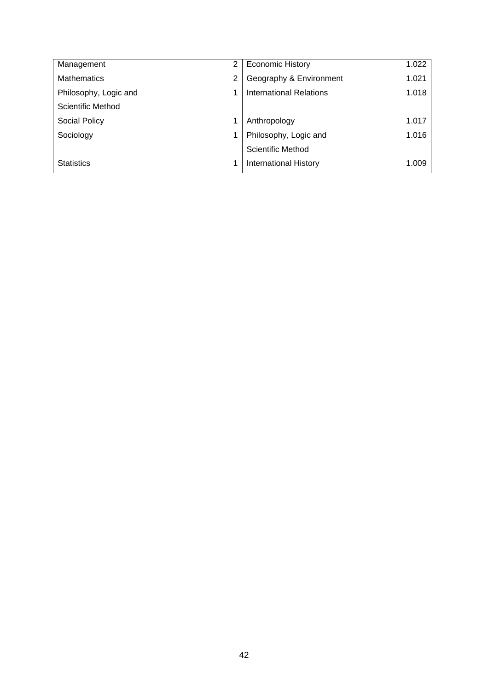| Management            | $\overline{2}$ | <b>Economic History</b>      | 1.022 |
|-----------------------|----------------|------------------------------|-------|
| <b>Mathematics</b>    | 2              | Geography & Environment      | 1.021 |
| Philosophy, Logic and |                | International Relations      | 1.018 |
| Scientific Method     |                |                              |       |
| <b>Social Policy</b>  |                | Anthropology                 | 1.017 |
| Sociology             |                | Philosophy, Logic and        | 1.016 |
|                       |                | Scientific Method            |       |
| <b>Statistics</b>     |                | <b>International History</b> | 1.009 |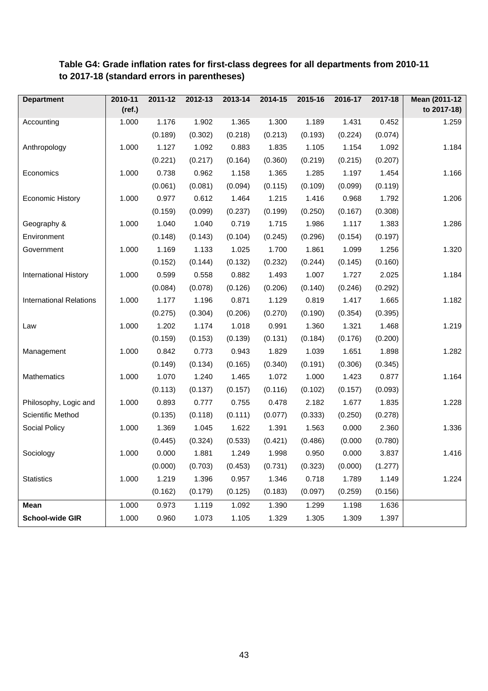#### **Department 2010-11 (ref.) 2011-12 2012-13 2013-14 2014-15 2015-16 2016-17 2017-18 Mean (2011-12 to 2017-18)** Accounting 1.000 1.176 (0.189) 1.902 (0.302) 1.365 (0.218) 1.300 (0.213) 1.189 (0.193) 1.431 (0.224) 0.452 (0.074) 1.259 Anthropology 1.000 1.127 (0.221) 1.092 (0.217) 0.883 (0.164) 1.835 (0.360) 1.105 (0.219) 1.154 (0.215) 1.092 (0.207) 1.184 Economics 1.000 0.738 (0.061) 0.962 (0.081) 1.158 (0.094) 1.365 (0.115) 1.285 (0.109) 1.197 (0.099) 1.454 (0.119) 1.166 Economic History | 1.000 0.977 (0.159) 0.612 (0.099) 1.464 (0.237) 1.215 (0.199) 1.416 (0.250) 0.968 (0.167) 1.792 (0.308) 1.206 Geography & Environment 1.000 1.040 (0.148) 1.040 (0.143) 0.719 (0.104) 1.715 (0.245) 1.986 (0.296) 1.117 (0.154) 1.383 (0.197) 1.286 Government 1.000 1.169 (0.152) 1.133 (0.144) 1.025 (0.132) 1.700 (0.232) 1.861 (0.244) 1.099 (0.145) 1.256 (0.160) 1.320 International History | 1.000 0.599 (0.084) 0.558 (0.078) 0.882 (0.126) 1.493 (0.206) 1.007 (0.140) 1.727 (0.246) 2.025 (0.292) 1.184 International Relations | 1.000 1.177 (0.275) 1.196 (0.304) 0.871 (0.206) 1.129 (0.270) 0.819 (0.190) 1.417 (0.354) 1.665 (0.395) 1.182 Law 1.000 1.202 (0.159) 1.174 (0.153) 1.018 (0.139) 0.991 (0.131) 1.360 (0.184) 1.321 (0.176) 1.468 (0.200) 1.219 Management 1.000 0.842 (0.149) 0.773 (0.134) 0.943 (0.165) 1.829 (0.340) 1.039 (0.191) 1.651 (0.306) 1.898 (0.345) 1.282 Mathematics 1.000 1.070 (0.113) 1.240 (0.137) 1.465 (0.157) 1.072 (0.116) 1.000 (0.102) 1.423 (0.157) 0.877 (0.093) 1.164 Philosophy, Logic and Scientific Method 1.000 0.893 (0.135) 0.777 (0.118) 0.755 (0.111) 0.478 (0.077) 2.182 (0.333) 1.677 (0.250) 1.835 (0.278) 1.228 Social Policy 1.000 1.369 (0.445) 1.045 (0.324) 1.622 (0.533) 1.391 (0.421) 1.563 (0.486) 0.000 (0.000 2.360 (0.780) 1.336 Sociology 1.000 0.000 (0.000) 1.881 (0.703) 1.249 (0.453) 1.998 (0.731) 0.950 (0.323) 0.000 (0.000) 3.837 (1.277) 1.416 Statistics 1.000 1.219 (0.162) 1.396 (0.179) 0.957 (0.125) 1.346 (0.183) 0.718 (0.097) 1.789 (0.259) 1.149 (0.156) 1.224 **Mean** 1.000 0.973 1.119 1.092 1.390 1.299 1.198 1.636 **School-wide GIR** 1.000 0.960 1.073 1.105 1.329 1.305 1.309 1.397

## **Table G4: Grade inflation rates for first-class degrees for all departments from 2010-11 to 2017-18 (standard errors in parentheses)**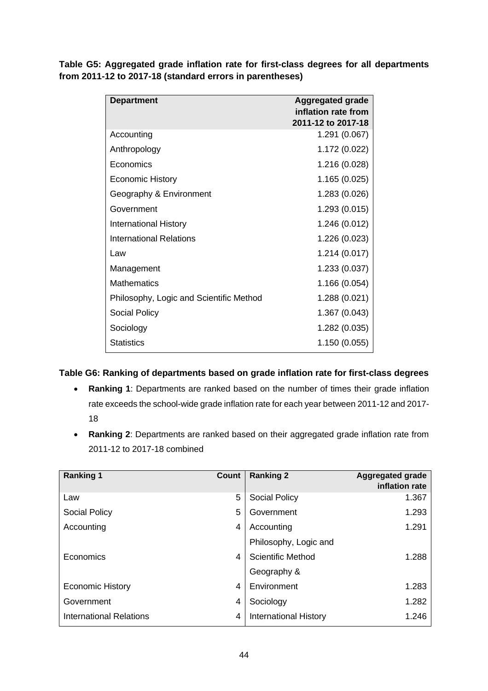|                                                          |  |  | Table G5: Aggregated grade inflation rate for first-class degrees for all departments |
|----------------------------------------------------------|--|--|---------------------------------------------------------------------------------------|
| from 2011-12 to 2017-18 (standard errors in parentheses) |  |  |                                                                                       |

| <b>Department</b>                       | <b>Aggregated grade</b><br>inflation rate from<br>2011-12 to 2017-18 |
|-----------------------------------------|----------------------------------------------------------------------|
| Accounting                              | 1.291 (0.067)                                                        |
| Anthropology                            | 1.172 (0.022)                                                        |
| Economics                               | 1.216 (0.028)                                                        |
| <b>Economic History</b>                 | 1.165 (0.025)                                                        |
| Geography & Environment                 | 1.283 (0.026)                                                        |
| Government                              | 1.293 (0.015)                                                        |
| <b>International History</b>            | 1.246 (0.012)                                                        |
| International Relations                 | 1.226 (0.023)                                                        |
| Law                                     | 1.214 (0.017)                                                        |
| Management                              | 1.233 (0.037)                                                        |
| <b>Mathematics</b>                      | 1.166 (0.054)                                                        |
| Philosophy, Logic and Scientific Method | 1.288 (0.021)                                                        |
| <b>Social Policy</b>                    | 1.367 (0.043)                                                        |
| Sociology                               | 1.282 (0.035)                                                        |
| <b>Statistics</b>                       | 1.150 (0.055)                                                        |

### **Table G6: Ranking of departments based on grade inflation rate for first-class degrees**

- **Ranking 1**: Departments are ranked based on the number of times their grade inflation rate exceeds the school-wide grade inflation rate for each year between 2011-12 and 2017- 18
- **Ranking 2**: Departments are ranked based on their aggregated grade inflation rate from 2011-12 to 2017-18 combined

| <b>Ranking 1</b>               | Count | <b>Ranking 2</b>             | <b>Aggregated grade</b><br>inflation rate |
|--------------------------------|-------|------------------------------|-------------------------------------------|
| Law                            | 5     | <b>Social Policy</b>         | 1.367                                     |
| <b>Social Policy</b>           | 5     | Government                   | 1.293                                     |
| Accounting                     | 4     | Accounting                   | 1.291                                     |
|                                |       | Philosophy, Logic and        |                                           |
| Economics                      | 4     | <b>Scientific Method</b>     | 1.288                                     |
|                                |       | Geography &                  |                                           |
| <b>Economic History</b>        | 4     | Environment                  | 1.283                                     |
| Government                     | 4     | Sociology                    | 1.282                                     |
| <b>International Relations</b> | 4     | <b>International History</b> | 1.246                                     |